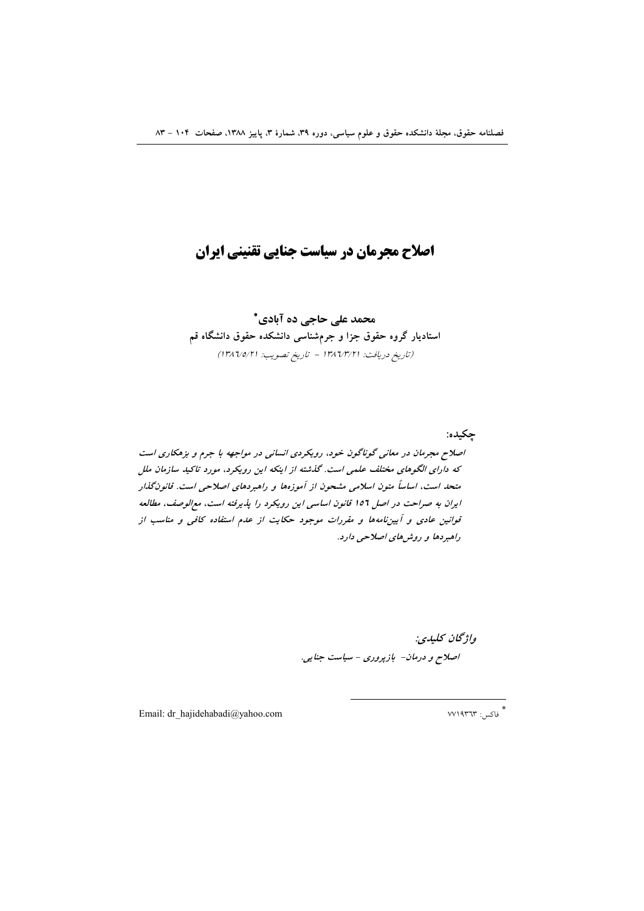# اصلاح مجرمان در سیاست جنایی تقنینی ایران

محمد علی حاجی ده آبادی\* استادیار گروه حقوق جزا و جرمشناسی دانشکده حقوق دانشگاه قم (تاريخ دريافت: ١٣٨٦/٣/٢١ - تاريخ تصويب: ١٣٨٦/٥/٢١)

حكىدە: اصلاح مجرمان در معانی گوناگون خود، رویکردی انسانی در مواجهه با جرم و بزهکاری است که دارای الگوهای مختلف علمی است. گذشته از اینکه این رویکرد، مورد تاکید سازمان ملل متحد است، اساساً متون اسلامی مشحون از آموزهها و راهبردهای اصلاحی است. قانون گذار ایران به صراحت در اصل ١٥٦ قانون اساسی این رویکرد را پذیرفته است، مع الوصف، مطالعه قوانین عادی و آیین نامهها و مقررات موجود حکایت از عدم استفاده کافی و مناسب از راهبردها و روش های اصلاحی دارد.

> واژگان كليدي: اصلاح و درمان- بازپروری - سیاست جنایی.

Email: dr\_hajidehabadi@yahoo.com

\* فاكس: ٧٧١٩٣٦٣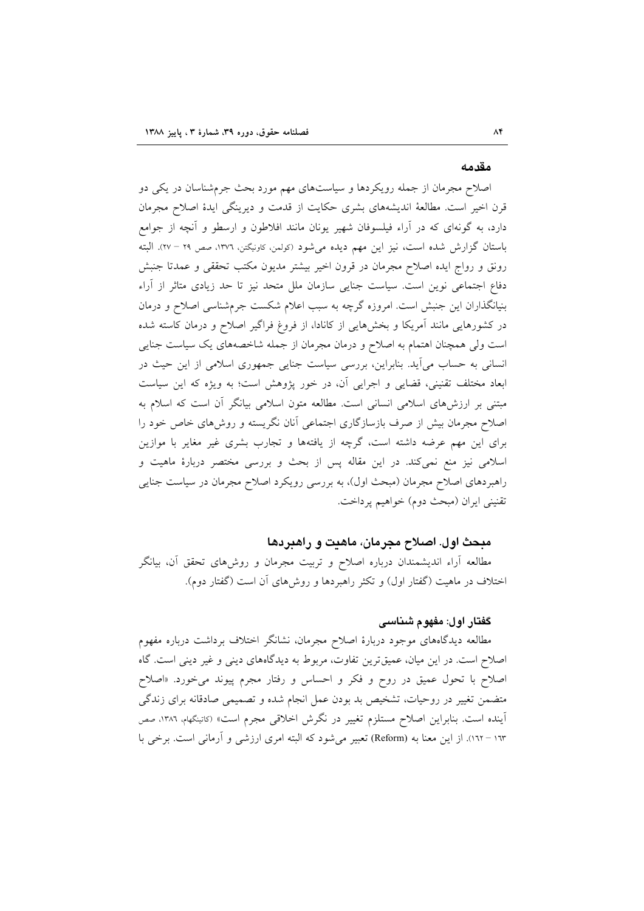#### مقدمه

اصلاح مجرمان از جمله رویکردها و سیاستهای مهم مورد بحث جرمشناسان در یکی دو قرن اخیر است. مطالعهٔ اندیشههای بشری حکایت از قدمت و دیرینگی ایدهٔ اصلاح مجرمان دارد، به گونهای که در آراء فیلسوفان شهیر یونان مانند افلاطون و ارسطو و آنچه از جوامع باستان گزارش شده است، نیز این مهم دیده میشود (کولمن کاونیگتن، ١٣٧٦، صص ٢٩ – ٢٧). البته رونق و رواج ایده اصلاح مجرمان در قرون اخیر بیشتر مدیون مکتب تحققی و عمدتا جنبش دفاع اجتماعی نوین است. سیاست جنایی سازمان ملل متحد نیز تا حد زیادی متاثر از آراء بنیانگذاران این جنبش است. امروزه گرچه به سبب اعلام شکست جرمشناسی اصلاح و درمان در کشورهایی مانند آمریکا و بخشهایی از کانادا، از فروغ فراگیر اصلاح و درمان کاسته شده است ولی همچنان اهتمام به اصلاح و درمان مجرمان از جمله شاخصههای یک سیاست جنایی انسانی به حساب میآید. بنابراین، بررسی سیاست جنایی جمهوری اسلامی از این حیث در ابعاد مختلف تقنینی، قضایی و اجرایی آن، در خور پژوهش است؛ به ویژه که این سیاست مبتنی بر ارزشهای اسلامی انسانی است. مطالعه متون اسلامی بیانگر آن است که اسلام به اصلاح مجرمان بیش از صرف بازسازگاری اجتماعی آنان نگریسته و روش۵ای خاص خود را برای این مهم عرضه داشته است، گرچه از یافتهها و تجارب بشری غیر مغایر با موازین اسلامی نیز منع نمیکند. در این مقاله پس از بحث و بررسی مختصر دربارهٔ ماهیت و راهبردهای اصلاح مجرمان (مبحث اول)، به بررسی رویکرد اصلاح مجرمان در سیاست جنایی تقنيني ايران (مبحث دوم) خواهيم پرداخت.

## مبحث اول. اصلاح مجرمان، ماهنت و راهبردها

مطالعه آراء اندیشمندان درباره اصلاح و تربیت مجرمان و روش۵ای تحقق آن، بیانگر اختلاف در ماهیت (گفتار اول) و تکثر راهبردها و روش های آن است (گفتار دوم).

## گفتار اول: مفهوم شناسی

مطالعه دیدگاههای موجود دربارهٔ اصلاح مجرمان، نشانگر اختلاف برداشت درباره مفهوم اصلاح است. در این میان، عمیقترین تفاوت، مربوط به دیدگاههای دینی و غیر دینی است. گاه اصلاح با تحول عمیق در روح و فکر و احساس و رفتار مجرم پیوند می خورد. «اصلاح متضمن تغییر در روحیات، تشخیص بد بودن عمل انجام شده و تصمیمی صادقانه برای زندگی آينده است. بنابراين اصلاح مستلزم تغيير در نگرش اخلاقي مجرم است» (كاتينگهام، ١٣٨٦، صص ۱۳۳ – ۱۲٪. از این معنا به (Reform) تعبیر میشود که البته امری ارزشی و آرمانی است. برخی با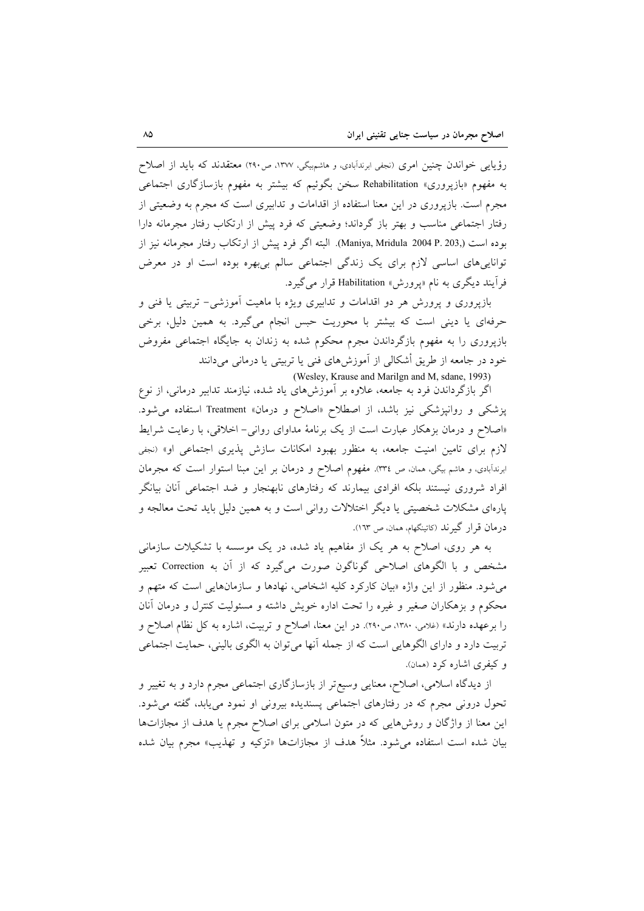رؤیایی خواندن چنین امری (نجفی ابرندآبادی، و هاشمهیگی، ۱۳۷۷، ص۲۹۰) معتقدند که باید از اصلاح به مفهوم «بازیروری» Rehabilitation سخن بگوئیم که بیشتر به مفهوم بازسازگاری اجتماعی مجرم است. بازپروری در این معنا استفاده از اقدامات و تدابیری است که مجرم به وضعیتی از رفتار اجتماعی مناسب و بهتر باز گرداند؛ وضعیتی که فرد پیش از ارتکاب رفتار مجرمانه دارا بوده است (Maniya, Mridula 2004 P. 203,). البته اگر فرد پیش از ارتکاب رفتار مجرمانه نیز از تواناییهای اساسی لازم برای یک زندگی اجتماعی سالم بیبهره بوده است او در معرض فراً یند دیگری به نام «پرورش» Habilitation قرار می گیرد.

بازپروری و پرورش هر دو اقدامات و تدابیری ویژه با ماهیت آموزشی- تربیتی یا فنی و حرفهای یا دینی است که بیشتر با محوریت حبس انجام میگیرد. به همین دلیل، برخی بازیروری را به مفهوم بازگرداندن مجرم محکوم شده به زندان به جایگاه اجتماعی مفروض خود در جامعه از طریق أشکالی از آموزشهای فنی یا تربیتی یا درمانی میدانند (Wesley, Krause and Marilgn and M, sdane, 1993)

اگر بازگرداندن فرد به جامعه، علاوه بر اَموزش۵لای یاد شده، نیازمند تدابیر درمانی، از نوع پزشکی و روانپزشکی نیز باشد، از اصطلاح «اصلاح و درمان» Treatment استفاده می شود. «اصلاح و درمان بزهکار عبارت است از یک برنامهٔ مداوای روان<sub>ی</sub>– اخلاقی، با رعایت شرایط لازم برای تامین امنیت جامعه، به منظور بهبود امکانات سازش پذیری اجتماعی او» (نجفی ابرندآبادی، و هاشم بیگی، همان، ص ۳۳٤). مفهوم اصلاح و درمان بر این مبنا استوار است که مجرمان افراد شروری نیستند بلکه افرادی بیمارند که رفتارهای نابهنجار و ضد اجتماعی آنان بیانگر پارهای مشکلات شخصیتی یا دیگر اختلالات روانی است و به همین دلیل باید تحت معالجه و درمان قرار گیرند (کاتینگهام، همان، ص ١٦٣).

به هر روی، اصلاح به هر یک از مفاهیم یاد شده، در یک موسسه با تشکیلات سازمانی مشخص و با الگوهای اصلاحی گوناگون صورت میگیرد که از آن به Correction تعبیر می شود. منظور از این واژه «بیان کارکرد کلیه اشخاص، نهادها و سازمانهایی است که متهم و محکوم و بزهکاران صغیر و غیره را تحت اداره خویش داشته و مسئولیت کنترل و درمان آنان را برعهده دارند» (غلامی، ۱۳۸۰، ص۲۹۰). در این معنا، اصلاح و تربیت، اشاره به کل نظام اصلاح و تربیت دارد و دارای الگوهایی است که از جمله آنها می توان به الگوی بالینی، حمایت اجتماعی و کیفری اشاره کرد (همان).

از دیدگاه اسلامی، اصلاح، معنایی وسیع تر از بازسازگاری اجتماعی مجرم دارد و به تغییر و تحول درونی مجرم که در رفتارهای اجتماعی پسندیده بیرونی او نمود می پابد، گفته می شود. این معنا از واژگان و روشهایی که در متون اسلامی برای اصلاح مجرم یا هدف از مجازاتها بيان شده است استفاده مي شود. مثلاً هدف از مجازاتها «تزكيه و تهذيب» مجرم بيان شده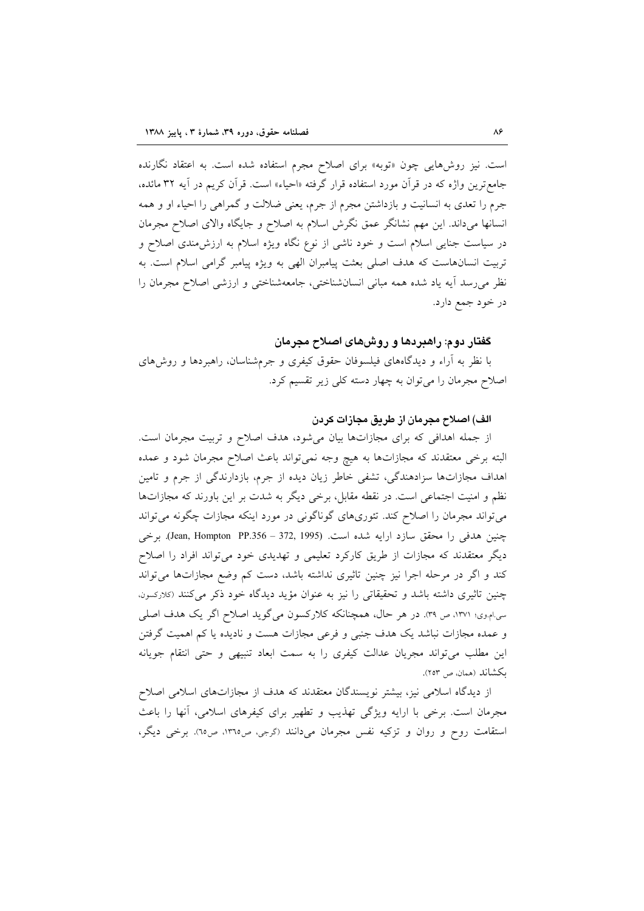است. نیز روشهایی چون «توبه» برای اصلاح مجرم استفاده شده است. به اعتقاد نگارنده جامع ترین واژه که در قرآن مورد استفاده قرار گرفته «احیاء» است. قرآن کریم در آیه ۳۲ مائده، جرم را تعدی به انسانیت و بازداشتن مجرم از جرم، یعنی ضلالت و گمراهی را احیاء او و همه انسانها میداند. این مهم نشانگر عمق نگرش اسلام به اصلاح و جایگاه والای اصلاح مجرمان در سیاست جنایی اسلام است و خود ناشی از نوع نگاه ویژه اسلام به ارزش،مندی اصلاح و تربیت انسانهاست که هدف اصلی بعثت پیامبران الهی به ویژه پیامبر گرامی اسلام است. به نظر می رسد آیه یاد شده همه مبانی انسانشناختی، جامعهشناختی و ارزشی اصلاح مجرمان را در خود جمع دارد.

## گفتار دوم: راهبردها و روش۵ای اصلاح مجرمان

با نظر به آراء و دیدگاههای فیلسوفان حقوق کیفری و جرمشناسان، راهبردها و روشهای اصلاح مجرمان را می توان به چهار دسته کلی زیر تقسیم کرد.

## الف) اصلاح مجرمان از طريق مجازات كردن

از جمله اهدافی که برای مجازاتها بیان میشود، هدف اصلاح و تربیت مجرمان است. البته برخی معتقدند که مجازاتها به هیچ وجه نمیتواند باعث اصلاح مجرمان شود و عمده اهداف مجازاتها سزادهندگی، تشفی خاطر زیان دیده از جرم، بازدارندگی از جرم و تامین نظم و امنیت اجتماعی است. در نقطه مقابل، برخی دیگر به شدت بر این باورند که مجازاتها می تواند مجرمان را اصلاح کند. تئوریهای گوناگونی در مورد اینکه مجازات چگونه می تواند چنین هدفی را محقق سازد ارایه شده است. (Jean, Hompton PP.356 - 372, 1995). برخی دیگر معتقدند که مجازات از طریق کارکرد تعلیمی و تهدیدی خود میتواند افراد را اصلاح کند و اگر در مرحله اجرا نیز چنین تاثیری نداشته باشد، دست کم وضع مجازاتها می تواند چنین تاثیری داشته باشد و تحقیقاتی را نیز به عنوان مؤید دیدگاه خود ذکر میکنند (کلارکسون. سی.ام.وی؛ ۱۳۷۱، ص ۳۹. در هر حال، همچنانکه کلارکسون میگوید اصلاح اگر یک هدف اصلی و عمده مجازات نباشد یک هدف جنبی و فرعی مجازات هست و نادیده یا کم اهمیت گرفتن این مطلب میتواند مجریان عدالت کیفری را به سمت ابعاد تنبیهی و حتی انتقام جویانه ىكشاند (همان ص ٢٥٣).

از دیدگاه اسلامی نیز، بیشتر نویسندگان معتقدند که هدف از مجازاتهای اسلامی اصلاح مجرمان است. برخی با ارایه ویژگی تهذیب و تطهیر برای کیفرهای اسلامی، آنها را باعث استقامت روح و روان و تزکیه نفس مجرمان میدانند (گرجی، ص١٣٦٥، ص٦٥). برخی دیگر،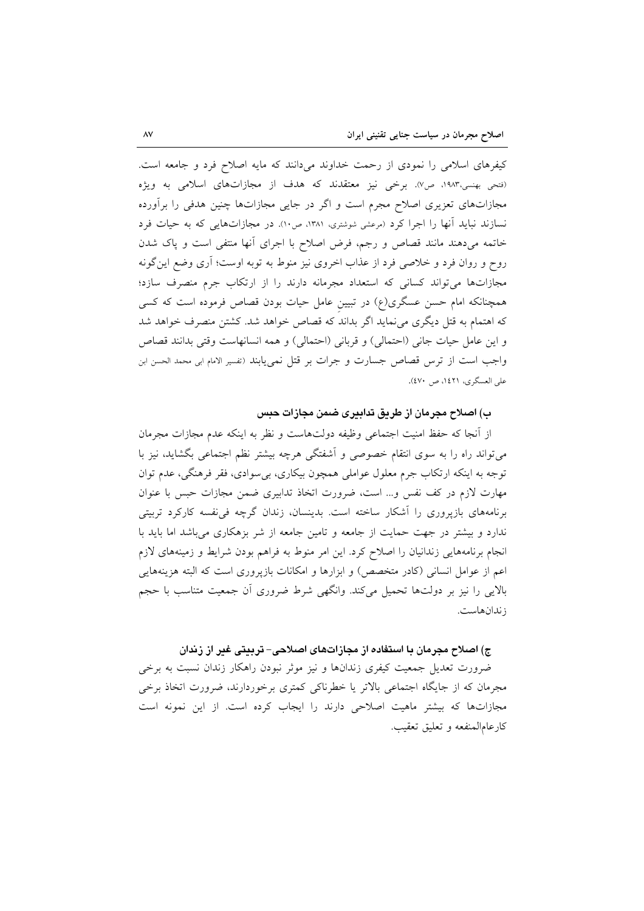کیفرهای اسلامی را نمودی از رحمت خداوند میدانند که مایه اصلاح فرد و جامعه است. (فتحی بهنسی،۱۹۸۳، ص۷). برخی نیز معتقدند که هدف از مجازاتهای اسلامی به ویژه مجازاتهای تعزیری اصلاح مجرم است و اگر در جایی مجازاتها چنین هدفی را برأورده نسازند نباید آنها را اجرا کرد (مرعشی شوشتری، ۱۳۸۱، ص۱۰). در مجازاتهایی که به حیات فرد خاتمه میدهند مانند قصاص و رجم، فرض اصلاح با اجرای أنها منتفی است و پاک شدن روح و روان فرد و خلاصی فرد از عذاب اخروی نیز منوط به توبه اوست؛ آری وضع این گونه مجازاتها می تواند کسانی که استعداد مجرمانه دارند را از ارتکاب جرم منصرف سازد؛ همچنانکه امام حسن عسگری(ع) در تبیین عامل حیات بودن قصاص فرموده است که کسی که اهتمام به قتل دیگری می نماید اگر بداند که قصاص خواهد شد. کشتن منصرف خواهد شد و اين عامل حيات جاني (احتمالي) و قرباني (احتمالي) و همه انسانهاست وقتي بدانند قصاص واجب است از ترس قصاص جسارت و جرات بر قتل نمی یابند (تفسیر الامام ابی محمد الحسن ابن على العسكري، ١٤٢١، ص ٤٧٠).

## ب) اصلاح مجرمان از طريق تدابيري ضمن مجازات حبس

از آنجا که حفظ امنیت اجتماعی وظیفه دولتهاست و نظر به اینکه عدم مجازات مجرمان میتواند راه را به سوی انتقام خصوصی و آشفتگی هرچه بیشتر نظم اجتماعی بگشاید، نیز با توجه به اينکه ارتکاب جرم معلول عواملي همچون بيکاري، بي سوادي، فقر فرهنگي، عدم توان مهارت لازم در كف نفس و… است، ضرورت اتخاذ تدابيري ضمن مجازات حبس با عنوان برنامههای بازپروری را آشکار ساخته است. بدینسان، زندان گرچه فی نفسه کارکرد تربیتی ندارد و بیشتر در جهت حمایت از جامعه و تامین جامعه از شر بزهکاری می باشد اما باید با انجام برنامههایی زندانیان را اصلاح کرد. این امر منوط به فراهم بودن شرایط و زمینههای لازم اعم از عوامل انسانی (کادر متخصص) و ابزارها و امکانات بازپروری است که البته هزینههایی بالایی را نیز بر دولتها تحمیل میکند. وانگهی شرط ضروری آن جمعیت متناسب با حجم ز ندانهاست.

## ج) اصلاح مجرمان با استفاده از مجازاتهای اصلاحی– تربیتی غیر از زندان

ضرورت تعدیل جمعیت کیفری زندانها و نیز موثر نبودن راهکار زندان نسبت به برخی مجرمان که از جایگاه اجتماعی بالاتر یا خطرناکی کمتری برخوردارند، ضرورت اتخاذ برخی مجازاتها که بیشتر ماهیت اصلاحی دارند را ایجاب کرده است. از این نمونه است كارعامالمنفعه وتعليق تعقيب.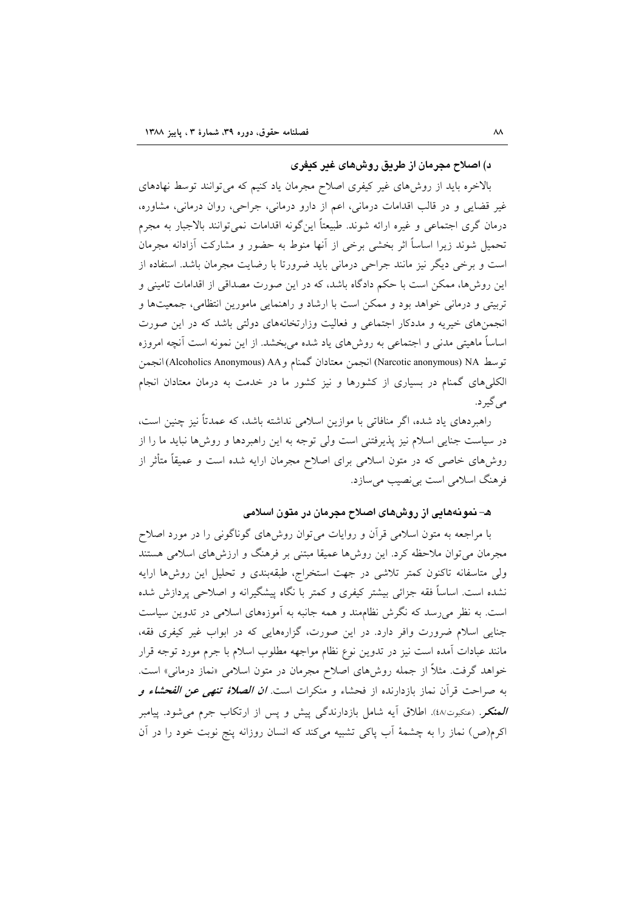## د) اصلاح مجرمان از طریق روشهای غیر کیفری

بالاخره باید از روش های غیر کیفری اصلاح مجرمان یاد کنیم که می توانند توسط نهادهای غیر قضایی و در قالب اقدامات درمانی، اعم از دارو درمانی، جراحی، روان درمانی، مشاوره، درمان گری اجتماعی و غیره ارائه شوند. طبیعتاً اینگونه اقدامات نمیتوانند بالاجبار به مجرم تحمیل شوند زیرا اساساً اثر بخشی برخی از آنها منوط به حضور و مشارکت آزادانه مجرمان است و برخی دیگر نیز مانند جراحی درمانی باید ضرورتا با رضایت مجرمان باشد. استفاده از این روشها، ممکن است با حکم دادگاه باشد، که در این صورت مصداقی از اقدامات تامینی و تربیتی و درمانی خواهد بود و ممکن است با ارشاد و راهنمایی مامورین انتظامی، جمعیتها و انجمنهای خیریه و مددکار اجتماعی و فعالیت وزارتخانههای دولتی باشد که در این صورت اساساً ماهیتی مدنی و اجتماعی به روش۵مای یاد شده می بخشد. از این نمونه است آنچه امروزه توسط Narcotic anonymous) NA) انجمن معتادان گمنام و Alcoholics Anonymous) AA) انجمن الکلیهای گمنام در بسیاری از کشورها و نیز کشور ما در خدمت به درمان معتادان انجام مي گير د.

راهبردهای یاد شده، اگر منافاتی با موازین اسلامی نداشته باشد، که عمدتاً نیز چنین است، در سیاست جنایی اسلام نیز پذیرفتنی است ولی توجه به این راهبردها و روشها نباید ما را از روشهای خاصی که در متون اسلامی برای اصلاح مجرمان ارایه شده است و عمیقاً متأثر از فرهنگ اسلامی است بی نصیب می ساز د.

## ه– نمونههایی از روشهای اصلاح مجرمان در متون اسلامی

با مراجعه به متون اسلامی قرآن و روایات می توان روشهای گوناگونی را در مورد اصلاح مجرمان می توان ملاحظه کرد. این روشها عمیقا مبتنی بر فرهنگ و ارزشهای اسلامی هستند ولی متاسفانه تاکنون کمتر تلاشی در جهت استخراج، طبقهبندی و تحلیل این روش ها ارایه نشده است. اساساً فقه جزائي بيشتر كيفري و كمتر با نگاه پيشگيرانه و اصلاحي پردازش شده است. به نظر می رسد که نگرش نظاممند و همه جانبه به آموزههای اسلامی در تدوین سیاست جنایی اسلام ضرورت وافر دارد. در این صورت، گزارههایی که در ابواب غیر کیفری فقه، مانند عبادات آمده است نیز در تدوین نوع نظام مواجهه مطلوب اسلام با جرم مورد توجه قرار خواهد گرفت. مثلاً از جمله روش۵ای اصلاح مجرمان در متون اسلامی «نماز درمانی» است. به صراحت قرآن نماز بازدارنده از فحشاء و منكرات است. *ان الصلاهٔ تنهی عن الفحشاء و* ا**لمنکر**. (عنکبوت۵٪). اطلاق آیه شامل بازدارندگی پیش و پس از ارتکاب جرم می شود. پیامبر اکرم(ص) نماز را به چشمهٔ آب پاکی تشبیه میکند که انسان روزانه پنج نوبت خود را در آن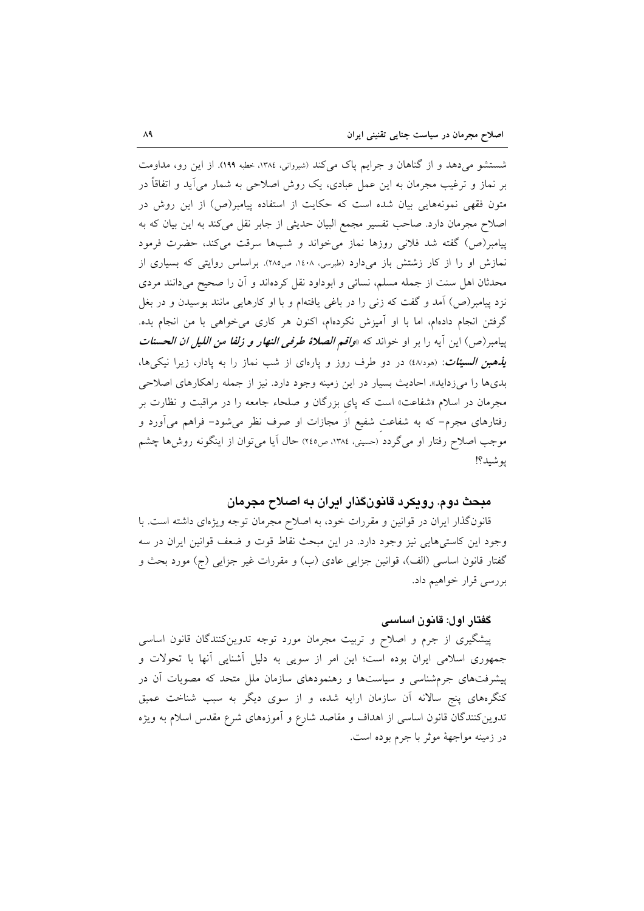شستشو می دهد و از گناهان و جرایم پاک می کند (شیروانی، ۱۳۸٤، خطبه ۱۹۹). از این رو، مداومت بر نماز و ترغیب مجرمان به این عمل عبادی، یک روش اصلاحی به شمار می آید و اتفاقاً در متون فقهی نمونههایی بیان شده است که حکایت از استفاده پیامبر(ص) از این روش در اصلاح مجرمان دارد. صاحب تفسیر مجمع البیان حدیثی از جابر نقل میکند به این بیان که به پیامبر(ص) گفته شد فلانی روزها نماز می خواند و شبها سرقت می کند، حضرت فرمود نمازش او را از کار زشتش باز میدارد (طبرسی، ۱٤۰۸، ص ۲۸۵). براساس روایتی که بسیاری از محدثان اهل سنت از جمله مسلم، نسائی و ابوداود نقل کردهاند و أن را صحیح میدانند مردی نزد پیامبر(ص) آمد و گفت که زنی را در باغی یافتهام و با او کارهایی مانند بوسیدن و در بغل گرفتن انجام دادهام، اما با او آمیزش نکردهام، اکنون هر کاری می خواهی با من انجام بده. پیامبر(ص) این آیه را بر او خواند که *«واقم الصلاهٔ طرفی النهار و زلفا من اللیل ان الحسنات یذهبن السیئات*: (هود/٤) در دو طرف روز و یارهای از شب نماز را به یادار، زیرا نیکی ها، بدیها را میزداید». احادیث بسیار در این زمینه وجود دارد. نیز از جمله راهکارهای اصلاحی مجرمان در اسلام «شفاعت» است که یای بزرگان و صلحاء جامعه را در مراقبت و نظارت بر رفتارهای مجرم– که به شفاعت شفیع از مجازات او صرف نظر میشود– فراهم میآورد و موجب اصلاح رفتار او می گردد (حسینی، ۱۳۸٤، ص٢٤٥) حال آیا می توان از اینگونه روشها چشم يو شيد؟!

## مبحث دوم. رویکرد قانونگذار ایران به اصلاح مجرمان

قانونگذار ایران در قوانین و مقررات خود، به اصلاح مجرمان توجه ویژهای داشته است. با وجود اين كاستي هايي نيز وجود دارد. در اين مبحث نقاط قوت و ضعف قوانين ايران در سه گفتار قانون اساسی (الف)، قوانین جزایی عادی (ب) و مقررات غیر جزایی (ج) مورد بحث و بررسي قرار خواهيم داد.

#### گفتار اول: قانون اساسی

پیشگیری از جرم و اصلاح و تربیت مجرمان مورد توجه تدوین کنندگان قانون اساسی جمهوری اسلامی ایران بوده است؛ این امر از سویی به دلیل آشنایی آنها با تحولات و پیشرفتهای جرمشناسی و سیاستها و رهنمودهای سازمان ملل متحد که مصوبات أن در کنگرههای پنج سالانه اَن سازمان ارایه شده، و از سوی دیگر به سبب شناخت عمیق تدوین کنندگان قانون اساسی از اهداف و مقاصد شارع و آموزههای شرع مقدس اسلام به ویژه در زمينه مواجههٔ موثر با جرم بوده است.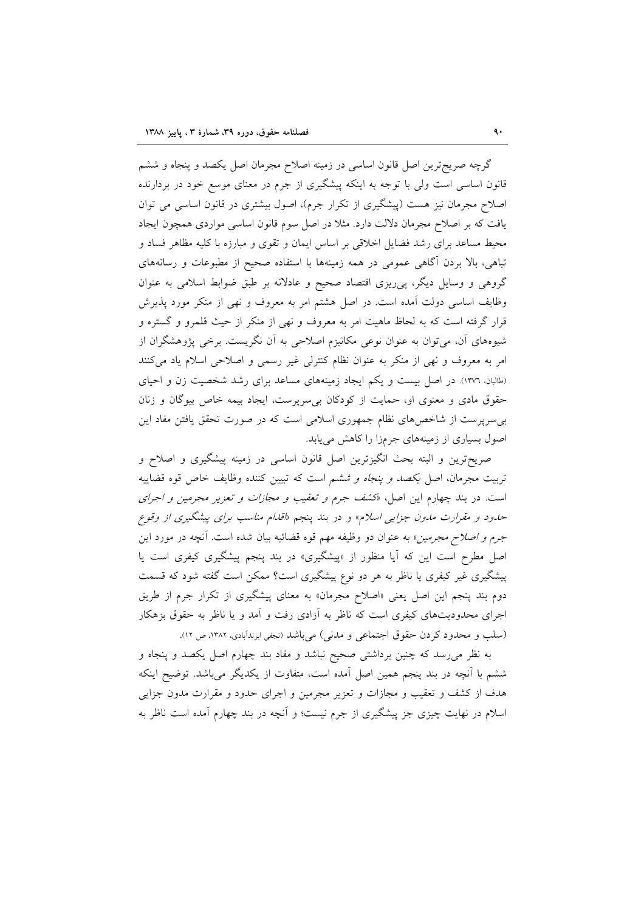گرچه صریحترین اصل قانون اساسی در زمینه اصلاح مجرمان اصل یکصد و پنجاه و ششم قانون اساسی است ولی با توجه به اینکه پیشگیری از جرم در معنای موسع خود در بردارنده اصلاح مجرمان نیز هست (پیشگیری از تکرار جرم)، اصول بیشتری در قانون اساسی می توان یافت که بر اصلاح مجرمان دلالت دارد. مثلا در اصل سوم قانون اساسی مواردی همچون ایجاد محیط مساعد برای رشد فضایل اخلاقی بر اساس ایمان و تقوی و مبارزه با کلیه مظاهر فساد و تباهی، بالا بردن آگاهی عمومی در همه زمینهها با استفاده صحیح از مطبوعات و رسانههای گروهی و وسایل دیگر، پیریزی اقتصاد صحیح و عادلانه بر طبق ضوابط اسلامی به عنوان وظایف اساسی دولت آمده است. در اصل هشتم امر به معروف و نهی از منکر مورد پذیرش قرار گرفته است که به لحاظ ماهیت امر به معروف و نهی از منکر از حیث قلمرو و گستره و شیوههای آن، می توان به عنوان نوعی مکانیزم اصلاحی به آن نگریست. برخی پژوهشگران از امر به معروف و نهى از منكر به عنوان نظام كنترلى غير رسمي و اصلاحي اسلام ياد مى كنند (طالبان. ۱۳۷۲). در اصل بیست و یکم ایجاد زمینههای مساعد برای رشد شخصیت زن و احیای حقوق مادی و معنوی او، حمایت از کودکان بی سرپرست، ایجاد بیمه خاص بیوگان و زنان بی سرپرست از شاخصهای نظام جمهوری اسلامی است که در صورت تحقق یافتن مفاد این اصول بسیاری از زمینههای جرمزا را کاهش می یابد.

صریحترین و البته بحث انگیزترین اصل قانون اساسی در زمینه پیشگیری و اصلاح و تربیت مجرمان، اصل *یکصد و پنجاه و ششم است که* تبیین کننده وظایف خاص قوه قضاییه است. در بند چهارم این اصل، «کشف جرم *و تعقیب و مجازات و تعزیر مجرمین و اجرای* حدود و مقرارت مدون جزای<sub>دی</sub> اسلام» و در بند پنجم «*قدام مناسب برای پیشگیری از وقوع جرم و اصلاح مجرمین*» به عنوان دو وظیفه مهم قوه قضائیه بیان شده است. آنچه در مورد این اصل مطرح است این که آیا منظور از «پیشگیری» در بند پنجم پیشگیری کیفری است یا پیشگیری غیر کیفری یا ناظر به هر دو نوع پیشگیری است؟ ممکن است گفته شود که قسمت دوم بند پنجم این اصل یعنی «اصلاح مجرمان» به معنای پیشگیری از تکرار جرم از طریق اجرای محدودیتهای کیفری است که ناظر به آزادی رفت و آمد و یا ناظر به حقوق بزهکار (سلب و محدود کردن حقوق اجتماعی و مدنی) می باشد (نجفی ابرندآبادی، ۱۳۸۲، ص ۱۲).

به نظر میرسد که چنین برداشتی صحیح نباشد و مفاد بند چهارم اصل یکصد و پنجاه و ششم با آنچه در بند پنجم همین اصل آمده است، متفاوت از یکدیگر میباشد. توضیح اینکه هدف از کشف و تعقیب و مجازات و تعزیر مجرمین و اجرای حدود و مقرارت مدون جزایی اسلام در نهایت چیزی جز پیشگیری از جرم نیست؛ و اّنچه در بند چهارم اّمده است ناظر به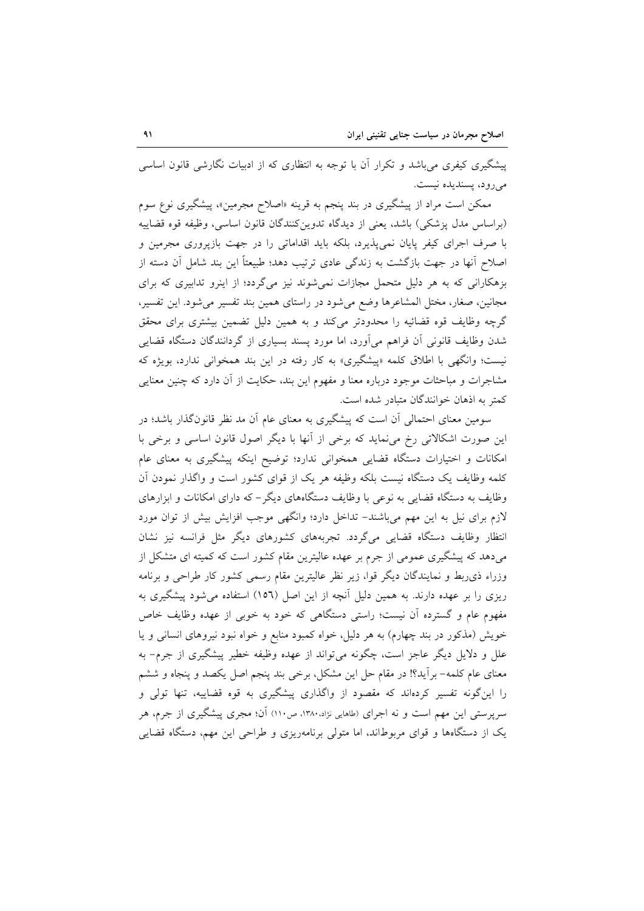پیشگیری کیفری می باشد و تکرار آن با توجه به انتظاری که از ادبیات نگارشی قانون اساسی مي رود، پسنديده نيست.

ممکن است مراد از پیشگیری در بند پنجم به قرینه «اصلاح مجرمین»، پیشگیری نوع سوم (براساس مدل پزشکی) باشد، یعنی از دیدگاه تدوینکنندگان قانون اساسی، وظیفه قوه قضاییه با صرف اجرای کیفر پایان نمیپذیرد، بلکه باید اقداماتی را در جهت بازپروری مجرمین و اصلاح آنها در جهت بازگشت به زندگی عادی ترتیب دهد؛ طبیعتاً این بند شامل آن دسته از بزهکارانی که به هر دلیل متحمل مجازات نمی شوند نیز میگردد؛ از اینرو تدابیری که برای مجانین، صغار، مختل المشاعرها وضع می شود در راستای همین بند تفسیر می شود. این تفسیر، گرچه وظایف قوه قضائیه را محدودتر میکند و به همین دلیل تضمین بیشتری برای محقق شدن وظایف قانونی آن فراهم میآورد، اما مورد پسند بسیاری از گردانندگان دستگاه قضایی نيست؛ وانگهى با اطلاق كلمه «پيشگيرى» به كار رفته در اين بند همخواني ندارد، بويژه كه مشاجرات و مباحثات موجود درباره معنا و مفهوم این بند، حکایت از أن دارد که چنین معنایی كمتر به اذهان خوانندگان متبادر شده است.

سومین معنای احتمالی آن است که پیشگیری به معنای عام آن مد نظر قانونگذار باشد؛ در این صورت اشکالاتی رخ می نماید که برخی از آنها با دیگر اصول قانون اساسی و برخی با امکانات و اختیارات دستگاه قضایی همخوانی ندارد؛ توضیح اینکه پیشگیری به معنای عام کلمه وظایف یک دستگاه نیست بلکه وظیفه هر یک از قوای کشور است و واگذار نمودن آن وظایف به دستگاه قضایی به نوعی با وظایف دستگاههای دیگر – که دارای امکانات و ابزارهای لازم برای نیل به این مهم میباشند– تداخل دارد؛ وانگهی موجب افزایش بیش از توان مورد انتظار وظایف دستگاه قضایی میگردد. تجربههای کشورهای دیگر مثل فرانسه نیز نشان میدهد که پیشگیری عمومی از جرم بر عهده عالیترین مقام کشور است که کمیته ای متشکل از وزراء ذي ربط و نمايندگان ديگر قوا، زير نظر عاليترين مقام رسمي كشور كار طراحي و برنامه ریزی را بر عهده دارند. به همین دلیل آنچه از این اصل (١٥٦) استفاده میشود پیشگیری به مفهوم عام و گسترده آن نیست؛ راستی دستگاهی که خود به خوبی از عهده وظایف خاص خویش (مذکور در بند چهارم) به هر دلیل، خواه کمبود منابع و خواه نبود نیروهای انسانی و یا علل و دلایل دیگر عاجز است، چگونه میتواند از عهده وظیفه خطیر پیشگیری از جرم- به معنای عام کلمه– برآید؟! در مقام حل این مشکل، برخی بند پنجم اصل یکصد و پنجاه و ششم را این گونه تفسیر کردهاند که مقصود از واگذاری پیشگیری به قوه قضاییه، تنها تولی و سرپرستی این مهم است و نه اجرای (طاهایی نژاد،۱۳۸۰، ص۱۱۰) آن؛ مجری پیشگیری از جرم، هر یک از دستگاهها و قوای مربوطاند، اما متولی برنامهریزی و طراحی این مهم، دستگاه قضایی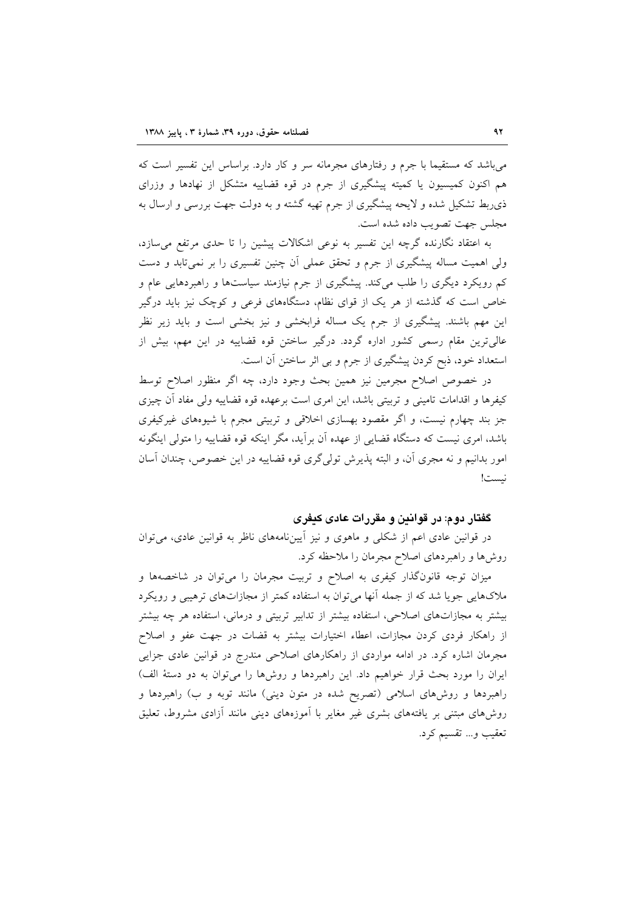می باشد که مستقیما با جرم و رفتارهای مجرمانه سر و کار دارد. براساس این تفسیر است که هم اکنون کمیسیون یا کمیته پیشگیری از جرم در قوه قضاییه متشکل از نهادها و وزرای ذی٫بط تشکیل شده و لایحه پیشگیری از جرم تهیه گشته و به دولت جهت بررسی و ارسال به مجلس جهت تصويب داده شده است.

به اعتقاد نگارنده گرچه این تفسیر به نوعی اشکالات پیشین را تا حدی مرتفع می سازد، ولی اهمیت مساله پیشگیری از جرم و تحقق عملی اَن چنین تفسیری را بر نمیٍتابد و دست کم رویکرد دیگری را طلب میکند. پیشگیری از جرم نیازمند سیاستها و راهبردهایی عام و خاص است که گذشته از هر یک از قوای نظام، دستگاههای فرعی و کوچک نیز باید درگیر این مهم باشند. پیشگیری از جرم یک مساله فرابخشی و نیز بخشی است و باید زیر نظر عالی ترین مقام رسمی کشور اداره گردد. درگیر ساختن قوه قضاییه در این مهم، بیش از استعداد خود، ذبح کردن پیشگیری از جرم و بی اثر ساختن آن است.

در خصوص اصلاح مجرمین نیز همین بحث وجود دارد، چه اگر منظور اصلاح توسط كيفرها و اقدامات تاميني و تربيتي باشد، اين امرى است برعهده قوه قضاييه ولي مفاد آن چيزى جز بند چهارم نیست، و اگر مقصود بهسازی اخلاقی و تربیتی مجرم با شیوههای غیرکیفری باشد، امری نیست که دستگاه قضایی از عهده آن برآید، مگر اینکه قوه قضاییه را متولی اینگونه امور بدانيم و نه مجري آن، و البته پذيرش تولي گري قوه قضاييه در اين خصوص، چندان آسان نيست!

## گفتار دوم: در قوانین و مقررات عادی کیفری

در قوانین عادی اعم از شکلی و ماهوی و نیز آییننامههای ناظر به قوانین عادی، می توان روشها و راهبردهای اصلاح مجرمان را ملاحظه کرد.

میزان توجه قانونگذار کیفری به اصلاح و تربیت مجرمان را میتوان در شاخصهها و ملاکهایی جویا شد که از جمله آنها می توان به استفاده کمتر از مجازاتهای ترهیبی و رویکرد بیشتر به مجازاتهای اصلاحی، استفاده بیشتر از تدابیر تربیتی و درمانی، استفاده هر چه بیشتر از راهکار فردی کردن مجازات، اعطاء اختیارات بیشتر به قضات در جهت عفو و اصلاح مجرمان اشاره کرد. در ادامه مواردی از راهکارهای اصلاحی مندرج در قوانین عادی جزایی ایران را مورد بحث قرار خواهیم داد. این راهبردها و روشها را میتوان به دو دستهٔ الف) راهبردها و روشهای اسلامی (تصریح شده در متون دینی) مانند توبه و ب) راهبردها و روش۵ای مبتنی بر یافتههای بشری غیر مغایر با اَموزههای دینی مانند اَزادی مشروط، تعلیق تعقيب و… تقسيم كرد.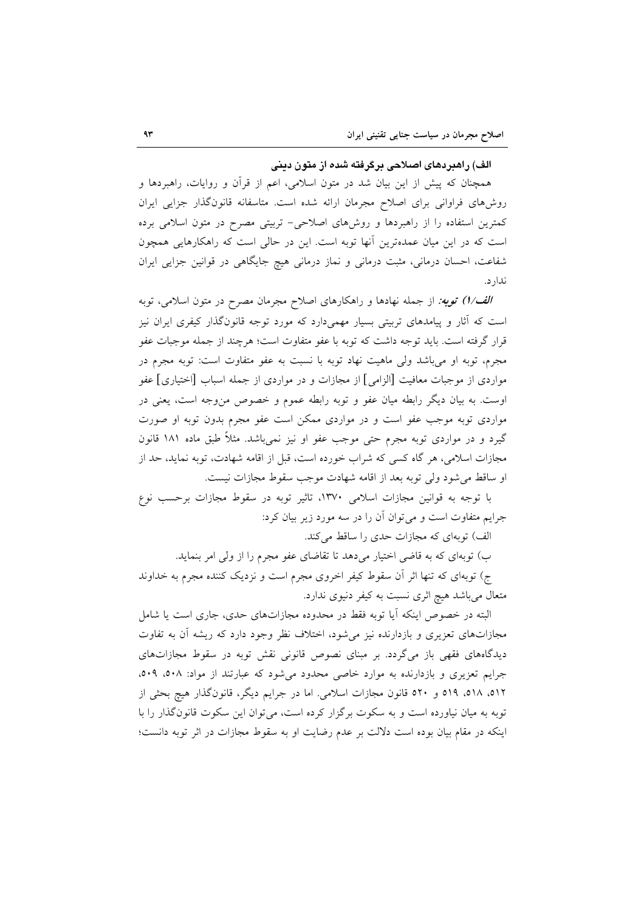## الف) راهبردهای اصلاحی برگرفته شده از متون دینی

همچنان که پیش از این بیان شد در متون اسلامی، اعم از قرآن و روایات، راهبردها و روشهای فراوانی برای اصلاح مجرمان ارائه شده است. متاسفانه قانونگذار جزایی ایران کمترین استفاده را از راهبردها و روشهای اصلاحی- تربیتی مصرح در متون اسلامی برده است که در این میان عمدهترین آنها توبه است. این در حالی است که راهکارهایی همچون شفاعت، احسان درمانی، مثبت درمانی و نماز درمانی هیچ جایگاهی در قوانین جزایی ایران ندار د.

الف/1) توبه: از جمله نهادها و راهکارهای اصلاح مجرمان مصرح در متون اسلامی، توبه است که آثار و پیامدهای تربیتی بسیار مهمیدارد که مورد توجه قانونگذار کیفری ایران نیز قرار گرفته است. باید توجه داشت که توبه با عفو متفاوت است؛ هرچند از جمله موجبات عفو مجرم، توبه او میباشد ولی ماهیت نهاد توبه با نسبت به عفو متفاوت است: توبه مجرم در مواردی از موجبات معافیت [الزامی] از مجازات و در مواردی از جمله اسباب [اختیاری] عفو اوست. به بیان دیگر رابطه میان عفو و توبه رابطه عموم و خصوص من وجه است، یعنی در مواردی توبه موجب عفو است و در مواردی ممکن است عفو مجرم بدون توبه او صورت گیرد و در مواردی توبه مجرم حتی موجب عفو او نیز نمیباشد. مثلاً طبق ماده ۱۸۱ قانون مجازات اسلامی، هر گاه کسی که شراب خورده است، قبل از اقامه شهادت، توبه نماید، حد از او ساقط می شود ولی توبه بعد از اقامه شهادت موجب سقوط مجازات نیست.

با توجه به قوانین مجازات اسلامی ۱۳۷۰، تاثیر توبه در سقوط مجازات برحسب نوع جرایم متفاوت است و می توان آن را در سه مورد زیر بیان کرد:

الف) توبهای که مجازات حدی را ساقط می کند.

ب) توبهای که به قاضی اختیار می دهد تا تقاضای عفو مجرم را از ولی امر بنماید.

ج) توبهای که تنها اثر آن سقوط کیفر اخروی مجرم است و نزدیک کننده مجرم به خداوند متعال میباشد هیچ اثری نسبت به کیفر دنیوی ندارد.

البته در خصوص اینکه آیا توبه فقط در محدوده مجازاتهای حدی، جاری است یا شامل مجازاتهای تعزیری و بازدارنده نیز می شود، اختلاف نظر وجود دارد که ریشه آن به تفاوت دیدگاههای فقهی باز میگردد. بر مبنای نصوص قانونی نقش توبه در سقوط مجازاتهای جرایم تعزیری و بازدارنده به موارد خاصی محدود میشود که عبارتند از مواد: ٥٠٨، ٥٠٩، ٥١٢، ٥١٨، ٥١٩ و ٥٢٠ قانون مجازات اسلامي. اما در جرايم ديگر، قانونگذار هيچ بحثي از توبه به میان نیاورده است و به سکوت برگزار کرده است، می توان این سکوت قانون گذار را با اینکه در مقام بیان بوده است دلالت بر عدم رضایت او به سقوط مجازات در اثر توبه دانست؛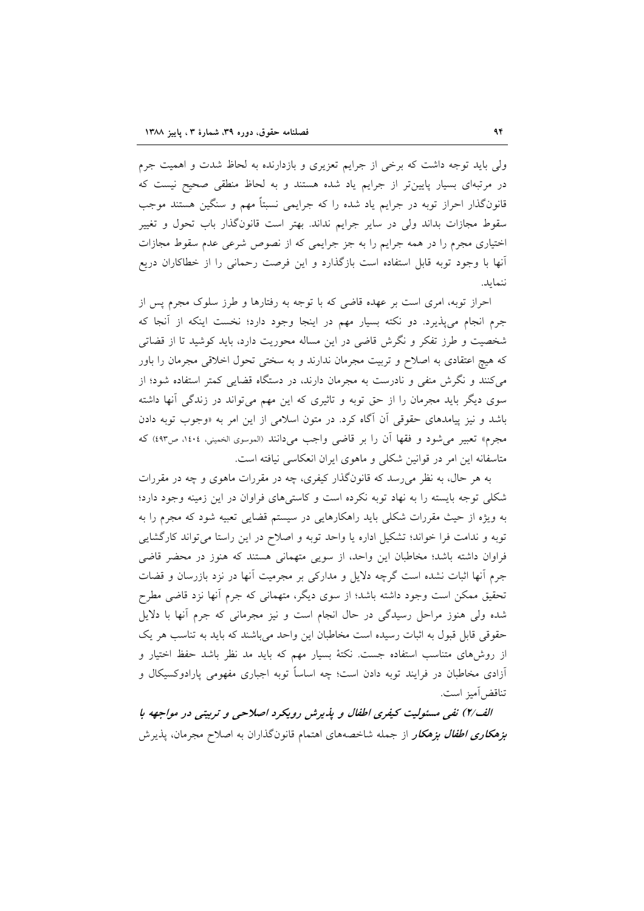ولي بايد توجه داشت كه برخي از جرايم تعزيري و بازدارنده به لحاظ شدت و اهميت جرم در مرتبهای بسیار پایینتر از جرایم یاد شده هستند و به لحاظ منطقی صحیح نیست که قانونگذار احراز توبه در جرایم یاد شده را که جرایمی نسبتاً مهم و سنگین هستند موجب سقوط مجازات بداند ولی در سایر جرایم نداند. بهتر است قانونگذار باب تحول و تغییر اختیاری مجرم را در همه جرایم را به جز جرایمی که از نصوص شرعی عدم سقوط مجازات آنها با وجود توبه قابل استفاده است بازگذارد و این فرصت رحمانی را از خطاکاران دریع ننماىد.

احراز توبه، امری است بر عهده قاضی که با توجه به رفتارها و طرز سلوک مجرم پس از جرم انجام میپذیرد. دو نکته بسیار مهم در اینجا وجود دارد؛ نخست اینکه از آنجا که شخصیت و طرز تفکر و نگرش قاضی در این مساله محوریت دارد، باید کوشید تا از قضاتی که هیچ اعتقادی به اصلاح و تربیت مجرمان ندارند و به سختی تحول اخلاقی مجرمان را باور می کنند و نگرش منفی و نادرست به مجرمان دارند، در دستگاه قضایی کمتر استفاده شود؛ از سوی دیگر باید مجرمان را از حق توبه و تاثیری که این مهم میتواند در زندگی آنها داشته باشد و نیز پیامدهای حقوقی آن آگاه کرد. در متون اسلامی از این امر به «وجوب توبه دادن مجرم» تعبير مي شود و فقها أن را بر قاضي واجب مي دانند (الموسوى الخميني، ١٤٠٤، ص٤٩٣) كه متاسفانه این امر در قوانین شکلی و ماهوی ایران انعکاسی نیافته است.

به هر حال، به نظر می رسد که قانونگذار کیفری، چه در مقررات ماهوی و چه در مقررات شکلی توجه بایسته را به نهاد توبه نکرده است و کاستیهای فراوان در این زمینه وجود دارد؛ به ویژه از حیث مقررات شکلی باید راهکارهایی در سیستم قضایی تعبیه شود که مجرم را به توبه و ندامت فرا خواند؛ تشکیل اداره یا واحد توبه و اصلاح در این راستا میتواند کارگشایی فراوان داشته باشد؛ مخاطبان این واحد، از سویی متهمانی هستند که هنوز در محضر قاضی جرم آنها اثبات نشده است گرچه دلایل و مدارکی بر مجرمیت آنها در نزد بازرسان و قضات تحقیق ممکن است وجود داشته باشد؛ از سوی دیگر، متهمانی که جرم أنها نزد قاضی مطرح شده ولی هنوز مراحل رسیدگی در حال انجام است و نیز مجرمانی که جرم آنها با دلایل حقوقي قابل قبول به اثبات رسيده است مخاطبان اين واحد مي باشند كه بايد به تناسب هر يك از روش۵ای متناسب استفاده جست. نکتهٔ بسیار مهم که باید مد نظر باشد حفظ اختیار و آزادی مخاطبان در فرایند توبه دادن است؛ چه اساساً توبه اجباری مفهومی پارادوکسیکال و تناقض آميز است.

الف/٢) نفي مسئوليت كيفري اطفال و يذيرش رويكرد اصلاحي و تربيني در مواجهه با **بز***هکاری اطفال بزهکار* **از جمله شاخصههای اهتمام قانونگذاران به اصلاح مجرمان**، پذیرش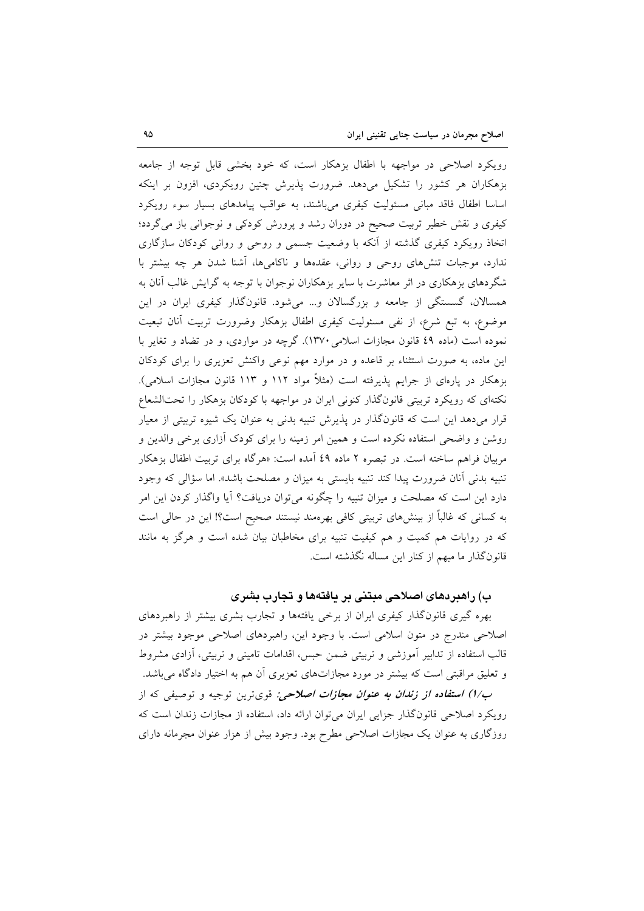رویکرد اصلاحی در مواجهه با اطفال بزهکار است، که خود بخشی قابل توجه از جامعه بزهکاران هر کشور را تشکیل میدهد. ضرورت پذیرش چنین رویکردی، افزون بر اینکه اساسا اطفال فاقد مبانی مسئولیت کیفری میباشند، به عواقب پیامدهای بسیار سوء رویکرد کیفری و نقش خطیر تربیت صحیح در دوران رشد و پرورش کودکی و نوجوانی باز میگردد؛ اتخاذ رویکرد کیفری گذشته از آنکه با وضعیت جسمی و روحی و روانی کودکان سازگاری ندارد، موجبات تنشهای روحی و روانی، عقدهها و ناکامیها، آشنا شدن هر چه بیشتر با شگردهای بزهکاری در اثر معاشرت با سایر بزهکاران نوجوان با توجه به گرایش غالب آنان به همسالان، گسستگی از جامعه و بزرگسالان و... میشود. قانونگذار کیفری ایران در این موضوع، به تبع شرع، از نفي مسئوليت كيفرى اطفال بزهكار وضرورت تربيت أنان تبعيت نموده است (ماده ٤٩ قانون مجازات اسلامي ١٣٧٠). گرچه در مواردي، و در تضاد و تغاير با این ماده، به صورت استثناء بر قاعده و در موارد مهم نوعی واکنش تعزیری را برای کودکان بزهکار در پارهای از جرایم پذیرفته است (مثلاً مواد ۱۱۲ و ۱۱۳ قانون مجازات اسلامی). نکتهای که رویکرد تربیتی قانونگذار کنونی ایران در مواجهه با کودکان بزهکار را تحتالشعاع قرار میدهد این است که قانونگذار در پذیرش تنبیه بدنی به عنوان یک شیوه تربیتی از معیار روشن و واضحی استفاده نکرده است و همین امر زمینه را برای کودک أزاری برخی والدین و مربیان فراهم ساخته است. در تبصره ۲ ماده ٤٩ آمده است: «هرگاه برای تربیت اطفال بزهکار تنبیه بدنی اّنان ضرورت پیدا کند تنبیه بایستی به میزان و مصلحت باشد». اما سؤالی که وجود دارد این است که مصلحت و میزان تنبیه را چگونه میتوان دریافت؟ آیا واگذار کردن این امر به کسانی که غالباً از بینشهای تربیتی کافی بهرهمند نیستند صحیح است؟! این در حالی است که در روایات هم کمیت و هم کیفیت تنبیه برای مخاطبان بیان شده است و هرگز به مانند قانونگذار ما مبهم از کنار این مساله نگذشته است.

## ب) راهبردهای اصلاحی مبتنی بر یافتهها و تجارب بشری

بهره گیری قانونگذار کیفری ایران از برخی یافتهها و تجارب بشری بیشتر از راهبردهای اصلاحی مندرج در متون اسلامی است. با وجود این، راهبردهای اصلاحی موجود بیشتر در قالب استفاده از تدابیر أموزشی و تربیتی ضمن حبس، اقدامات تامینی و تربیتی، أزادی مشروط و تعلیق مراقبتی است که بیشتر در مورد مجازاتهای تعزیری آن هم به اختیار دادگاه میباشد.

ب/ا) ا**ستفاده از زندان به عنوان مجازات اصلاحی**: قویترین توجیه و توصیفی که از رویکرد اصلاحی قانونگذار جزایی ایران میتوان ارائه داد، استفاده از مجازات زندان است که روزگاری به عنوان یک مجازات اصلاحی مطرح بود. وجود بیش از هزار عنوان مجرمانه دارای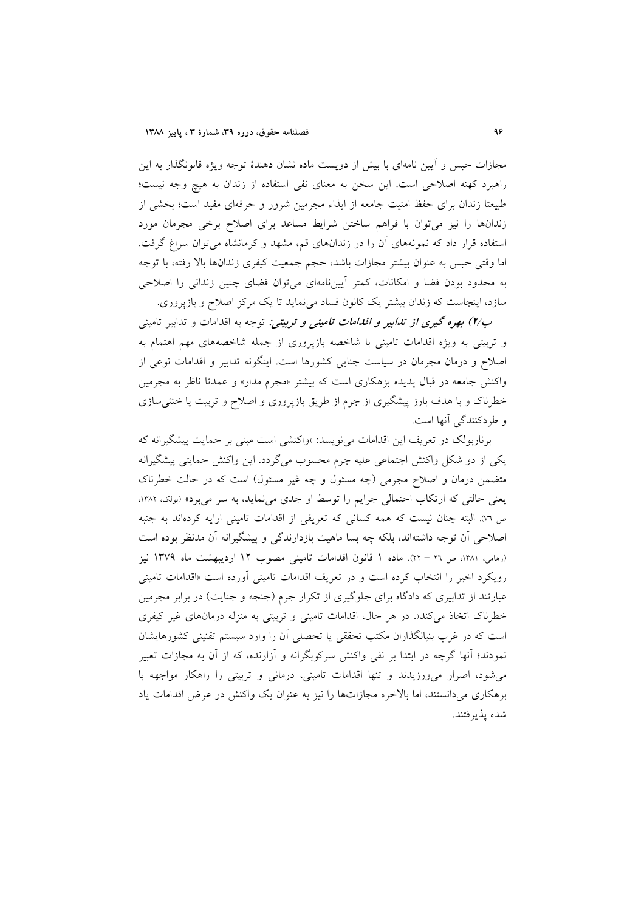مجازات حبس و آیین نامهای با بیش از دویست ماده نشان دهندهٔ توجه ویژه قانونگذار به این راهبرد كهنه اصلاحي است. اين سخن به معناى نفي استفاده از زندان به هيچ وجه نيست؛ طبیعتا زندان برای حفظ امنیت جامعه از ایذاء مجرمین شرور و حرفهای مفید است؛ بخشی از زندانها را نیز میتوان با فراهم ساختن شرایط مساعد برای اصلاح برخی مجرمان مورد استفاده قرار داد که نمونههای آن را در زندانهای قم، مشهد و کرمانشاه می توان سراغ گرفت. اما وقتی حبس به عنوان بیشتر مجازات باشد، حجم جمعیت کیفری زندانها بالا رفته، با توجه به محدود بودن فضا و امکانات، کمتر آییننامهای میتوان فضای چنین زندانی را اصلاحی سازد، اینجاست که زندان بیشتر یک کانون فساد می نماید تا یک مرکز اصلاح و بازپروری.

ب/۲) بهره گیری *از تدابیر و اقدامات تامینی و تربیتی:* توجه به اقدامات و تدابیر تامینی و تربیتی به ویژه اقدامات تامینی با شاخصه بازپروری از جمله شاخصههای مهم اهتمام به اصلاح و درمان مجرمان در سیاست جنایی کشورها است. اینگونه تدابیر و اقدامات نوعی از واکنش جامعه در قبال پدیده بزهکاری است که بیشتر «مجرم مدار» و عمدتا ناظر به مجرمین خطرناک و با هدف بارز پیشگیری از جرم از طریق بازپروری و اصلاح و تربیت یا خنثی سازی و طردکنندگی آنها است.

برناربولک در تعریف این اقدامات می نویسد: «واکنشی است مبنی بر حمایت پیشگیرانه که یکی از دو شکل واکنش اجتماعی علیه جرم محسوب میگردد. این واکنش حمایتی پیشگیرانه متضمن درمان و اصلاح مجرمی (چه مسئول و چه غیر مسئول) است که در حالت خطرناک یعنی حالتی که ارتکاب احتمالی جرایم را توسط او جدی می نماید، به سر میبرد» (بولک، ۱۳۸۲، ص ٧٦). البته چنان نیست که همه کسانی که تعریفی از اقدامات تامینی ارایه کردهاند به جنبه اصلاحی آن توجه داشتهاند، بلکه چه بسا ماهیت بازدارندگی و پیشگیرانه آن مدنظر بوده است (رهامي، ١٣٨١، ص ٢٦ - ٢٢). ماده ١ قانون اقدامات تاميني مصوب ١٢ ارديبهشت ماه ١٣٧٩ نيز رویکرد اخیر را انتخاب کرده است و در تعریف اقدامات تامینی اَورده است «اقدامات تامینی عبارتند از تدابیری که دادگاه برای جلوگیری از تکرار جرم (جنجه و جنایت) در برابر مجرمین خطرناک اتخاذ میکند». در هر حال، اقدامات تامینی و تربیتی به منزله درمانهای غیر کیفری است که در غرب بنیانگذاران مکتب تحققی یا تحصلی آن را وارد سیستم تقنینی کشورهایشان نمودند؛ آنها گرچه در ابتدا بر نفی واکنش سرکوبگرانه و آزارنده، که از آن به مجازات تعبیر می شود، اصرار می ورزیدند و تنها اقدامات تامینی، درمانی و تربیتی را راهکار مواجهه با بزهکاری می(دانستند، اما بالاخره مجازاتها را نیز به عنوان یک واکنش در عرض اقدامات یاد شده پذيرفتند.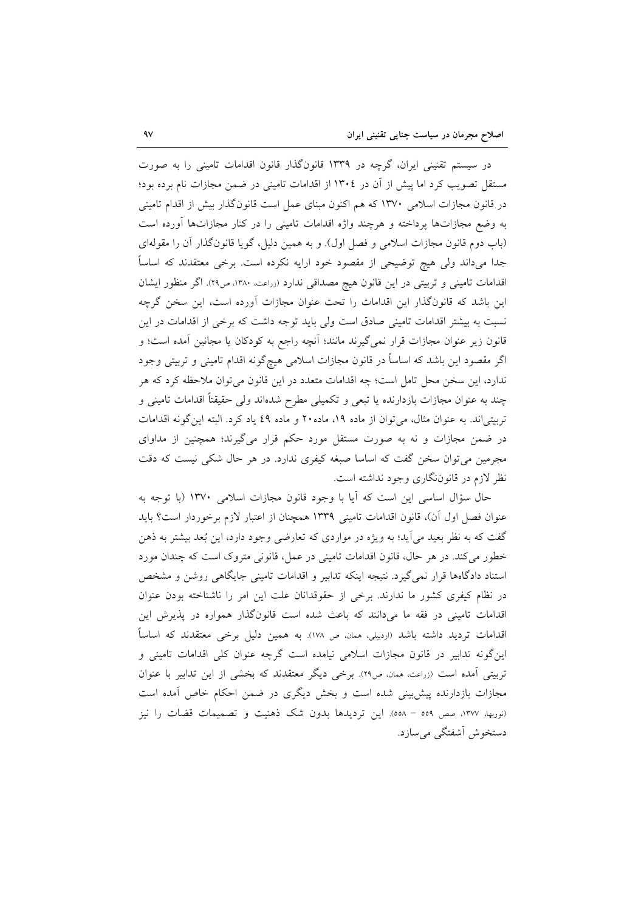در سیستم تقنینی ایران، گرچه در ۱۳۳۹ قانونگذار قانون اقدامات تامینی را به صورت مستقل تصویب کرد اما پیش از آن در ۱۳۰٤ از اقدامات تامینی در ضمن مجازات نام برده بود؛ در قانون مجازات اسلامی ۱۳۷۰ که هم اکنون مبنای عمل است قانونگذار بیش از اقدام تامینی به وضع مجازاتها پرداخته و هرچند واژه اقدامات تامینی را در کنار مجازاتها آورده است (باب دوم قانون مجازات اسلامی و فصل اول). و به همین دلیل، گویا قانونگذار آن را مقولهای جداً میداند ولی هیچ توضیحی از مقصود خود ارایه نکرده است. برخی معتقدند که اساساً اقدامات تامینی و تربیتی در این قانون هیچ مصداقی ندارد (زراعت، ۱۳۸۰، ص۲۹). اگر منظور ایشان این باشد که قانونگذار این اقدامات را تحت عنوان مجازات آورده است، این سخن گرچه نسبت به بیشتر اقدامات تامینی صادق است ولی باید توجه داشت که برخی از اقدامات در این قانون زیر عنوان مجازات قرار نمیگیرند مانند؛ آنچه راجع به کودکان یا مجانین آمده است؛ و اگر مقصود این باشد که اساساً در قانون مجازات اسلامی هیچگونه اقدام تامینی و تربیتی وجود ندارد، این سخن محل تامل است؛ چه اقدامات متعدد در این قانون می توان ملاحظه کرد که هر چند به عنوان مجازات بازدارنده یا تبعی و تکمیلی مطرح شدهاند ولی حقیقتاً اقدامات تامینی و تربیتیاند. به عنوان مثال، می توان از ماده ۱۹، ماده ۲۰ و ماده ٤٩ یاد کرد. البته اینگونه اقدامات در ضمن مجازات و نه به صورت مستقل مورد حکم قرار میگیرند؛ همچنین از مداوای مجرمین می توان سخن گفت که اساسا صبغه کیفری ندارد. در هر حال شکی نیست که دقت نظر لازم در قانوننگاری وجود نداشته است.

حال سؤال اساسی این است که آیا با وجود قانون مجازات اسلامی ۱۳۷۰ (با توجه به عنوان فصل اول آن)، قانون اقدامات تاميني ١٣٣٩ همچنان از اعتبار لازم برخوردار است؟ بايد گفت که به نظر بعید می اید؛ به ویژه در مواردی که تعارضی وجود دارد، این بُعد بیشتر به ذهن خطور می کند. در هر حال، قانون اقدامات تامینی در عمل، قانونی متروک است که چندان مورد استناد دادگاهها قرار نمی گیرد. نتیجه اینکه تدابیر و اقدامات تامینی جایگاهی روشن و مشخص در نظام کیفری کشور ما ندارند. برخی از حقوقدانان علت این امر را ناشناخته بودن عنوان اقدامات تامینی در فقه ما میدانند که باعث شده است قانونگذار همواره در پذیرش این اقدامات تردید داشته باشد (اردبیلی، ممان، ص ۱۷۸). به همین دلیل برخی معتقدند که اساساً این گونه تدابیر در قانون مجازات اسلامی نیامده است گرچه عنوان کلی اقدامات تامینی و تربیتی آمده است (زراعت، همان، ص٢٩). برخی دیگر معتقدند که بخشی از این تدابیر با عنوان مجازات بازدارنده پیش بینی شده است و بخش دیگری در ضمن احکام خاص آمده است (نوربها، ١٣٧٧، صص ٥٥٩ – ٥٥٨). اين ترديدها بدون شک ذهنيت و تصميمات قضات را نيز دستخوش آشفتگی می سازد.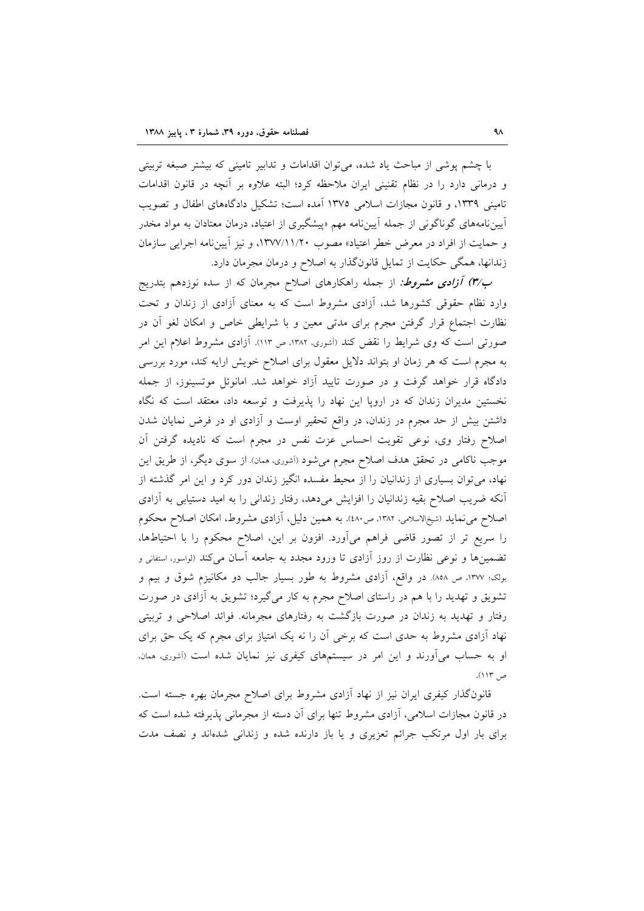با چشم پوشی از مباحث یاد شده، می توان اقدامات و تدابیر تامینی که بیشتر صبغه تربیتی و درمانی دارد را در نظام تقنینی ایران ملاحظه کرد؛ البته علاوه بر آنچه در قانون اقدامات تامینی ۱۳۳۹، و قانون مجازات اسلامی ۱۳۷۵ آمده است؛ تشکیل دادگاههای اطفال و تصویب آییننامههای گوناگونی از جمله آییننامه مهم «پیشگیری از اعتیاد، درمان معتادان به مواد مخدر و حمایت از افراد در معرض خطر اعتیاد» مصوب ١٣٧٧/١١/٢٠، و نیز آیین نامه اجرایی سازمان زندانها، همگی حکایت از تمایل قانونگذار به اصلاح و درمان مجرمان دارد.

ب/٣) آ**زادی مشروط**: از جمله راهکارهای اصلاح مجرمان که از سده نوزدهم بتدریج وارد نظام حقوقی کشورها شد، آزادی مشروط است که به معنای آزادی از زندان و تحت نظارت اجتماع قرار گرفتن مجرم برای مدتی معین و با شرایطی خاص و امکان لغو آن در صورتی است که وی شرایط را نقض کند (آشوری، ۱۳۸۲، ص ۱۱۳). آزادی مشروط اعلام این امر به مجرم است که هر زمان او بتواند دلایل معقول برای اصلاح خویش ارایه کند، مورد بررسی دادگاه قرار خواهد گرفت و در صورت تایید آزاد خواهد شد. امانوئل موتسینوز، از جمله نخستین مدیران زندان که در اروپا این نهاد را پذیرفت و توسعه داد، معتقد است که نگاه داشتن بیش از حد مجرم در زندان، در واقع تحقیر اوست و آزادی او در فرض نمایان شدن اصلاح رفتار وي، نوعي تقويت احساس عزت نفس در مجرم است كه ناديده گرفتن أن موجب ناکامی در تحقق هدف اصلاح مجرم میشود (آشوری، ممان). از سوی دیگر، از طریق این نهاد، می توان بسیاری از زندانیان را از محیط مفسده انگیز زندان دور کرد و این امر گذشته از آنکه ضریب اصلاح بقیه زندانیان را افزایش میدهد، رفتار زندانی را به امید دستیابی به آزادی اصلاح می نماید (شیخالاسلامی، ۱۳۸۲، ص۱۸۰). به همین دلیل، آزادی مشروط، امکان اصلاح محکوم را سريع تر از تصور قاضي فراهم ميأورد. افزون بر اين، اصلاح محكوم را با احتياطها، تضمینها و نوعی نظارت از روز آزادی تا ورود مجدد به جامعه آسان میکند (لواسور، استفانی و بولک؛ ۱۳۷۷، ص ۸۵۸). در واقع، آزادی مشروط به طور بسیار جالب دو مکانیزم شوق و بیم و تشویق و تهدید را با هم در راستای اصلاح مجرم به کار میگیرد؛ تشویق به آزادی در صورت رفتار و تهدید به زندان در صورت بازگشت به رفتارهای مجرمانه. فوائد اصلاحی و تربیتی نهاد آزادی مشروط به حدی است که برخی آن را نه یک امتیاز برای مجرم که یک حق برای او به حساب می آورند و این امر در سیستمهای کیفری نیز نمایان شده است (آشوری، ممان، ص ۱۱۳).

قانونگذار کیفری ایران نیز از نهاد آزادی مشروط برای اصلاح مجرمان بهره جسته است. در قانون مجازات اسلامی، آزادی مشروط تنها برای آن دسته از مجرمانی پذیرفته شده است که برای بار اول مرتکب جرائم تعزیری و یا باز دارنده شده و زندانی شدهاند و نصف مدت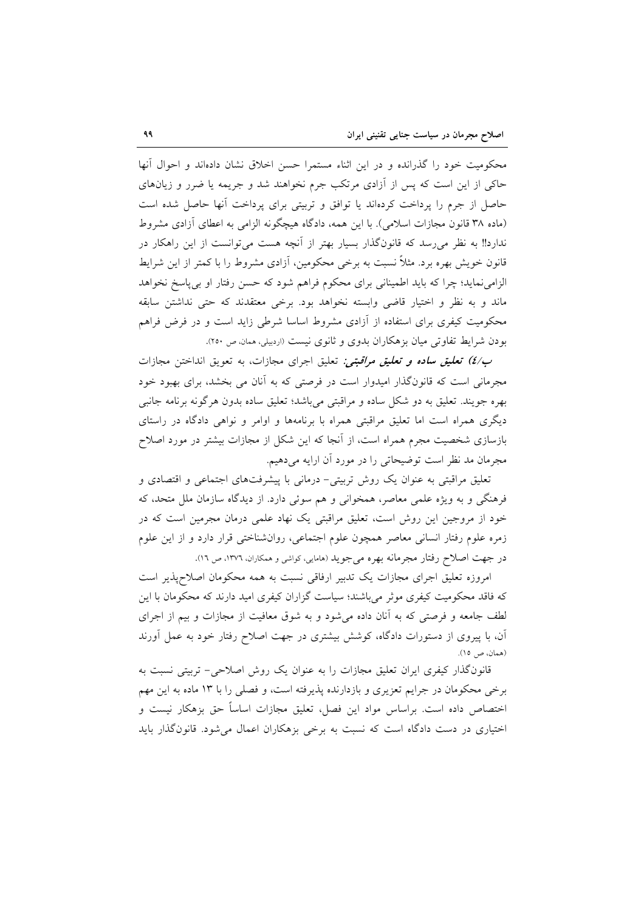محکومیت خود را گذرانده و در این اثناء مستمرا حسن اخلاق نشان دادهاند و احوال آنها حاکی از این است که پس از آزادی مرتکب جرم نخواهند شد و جریمه یا ضرر و زیانهای حاصل از جرم را پرداخت کردهاند یا توافق و تربیتی برای پرداخت أنها حاصل شده است (ماده ٣٨ قانون مجازات اسلامي). با اين همه، دادگاه هيچگونه الزامي به اعطاي آزادي مشروط ندارد!! به نظر می رسد که قانونگذار بسیار بهتر از آنچه هست می توانست از این راهکار در قانون خویش بهره برد. مثلاً نسبت به برخی محکومین، آزادی مشروط را با کمتر از این شرایط الزامی نماید؛ چرا که باید اطمینانی برای محکوم فراهم شود که حسن رفتار او بی پاسخ نخواهد ماند و به نظر و اختیار قاضی وابسته نخواهد بود. برخی معتقدند که حتی نداشتن سابقه محکومیت کیفری برای استفاده از آزادی مشروط اساسا شرطی زاید است و در فرض فراهم بو دن شرايط تفاوتي ميان بزهكاران بدوي و ثانوي نيست (اردبيلي، ممان، ص ٢٥٠).

ب/٤) تعليق ساده و تعليق مراقبتي: تعليق اجراي مجازات، به تعويق انداختن مجازات مجرمانی است که قانونگذار امیدوار است در فرصتی که به آنان می بخشد، برای بهبود خود بهره جويند. تعليق به دو شكل ساده و مراقبتي مي باشد؛ تعليق ساده بدون هرگونه برنامه جانبي دیگری همراه است اما تعلیق مراقبتی همراه با برنامهها و اوامر و نواهی دادگاه در راستای بازسازی شخصیت مجرم همراه است، از آنجا که این شکل از مجازات بیشتر در مورد اصلاح مجرمان مد نظر است توضیحاتی را در مورد آن ارایه میدهیم.

تعلیق مراقبتی به عنوان یک روش تربیتی- درمانی با پیشرفتهای اجتماعی و اقتصادی و فرهنگی و به ویژه علمی معاصر، همخوانی و هم سوئی دارد. از دیدگاه سازمان ملل متحد، که خود از مروجین این روش است، تعلیق مراقبتی یک نهاد علمی درمان مجرمین است که در زمره علوم رفتار انسانی معاصر همچون علوم اجتماعی، روانشناختی قرار دارد و از این علوم در جهت اصلاح رفتار مجرمانه بهره می جوید (هامایی، کواشی و همکاران، ۱۳۷۲، ص ۱۲).

امروزه تعلیق اجرای مجازات یک تدبیر ارفاقی نسبت به همه محکومان اصلاحهذیر است که فاقد محکومیت کیفری موثر می باشند؛ سیاست گزاران کیفری امید دارند که محکومان با این لطف جامعه و فرصتی که به آنان داده میشود و به شوق معافیت از مجازات و بیم از اجرای آن، با پیروی از دستورات دادگاه، کوشش بیشتری در جهت اصلاح رفتار خود به عمل آورند (همان، ص ١٥).

قانونگذار کیفری ایران تعلیق مجازات را به عنوان یک روش اصلاحی- تربیتی نسبت به برخی محکومان در جرایم تعزیری و بازدارنده پذیرفته است، و فصلی را با ۱۳ ماده به این مهم اختصاص داده است. براساس مواد این فصل، تعلیق مجازات اساساً حق بزهکار نیست و اختیاری در دست دادگاه است که نسبت به برخی بزهکاران اعمال می شود. قانون گذار باید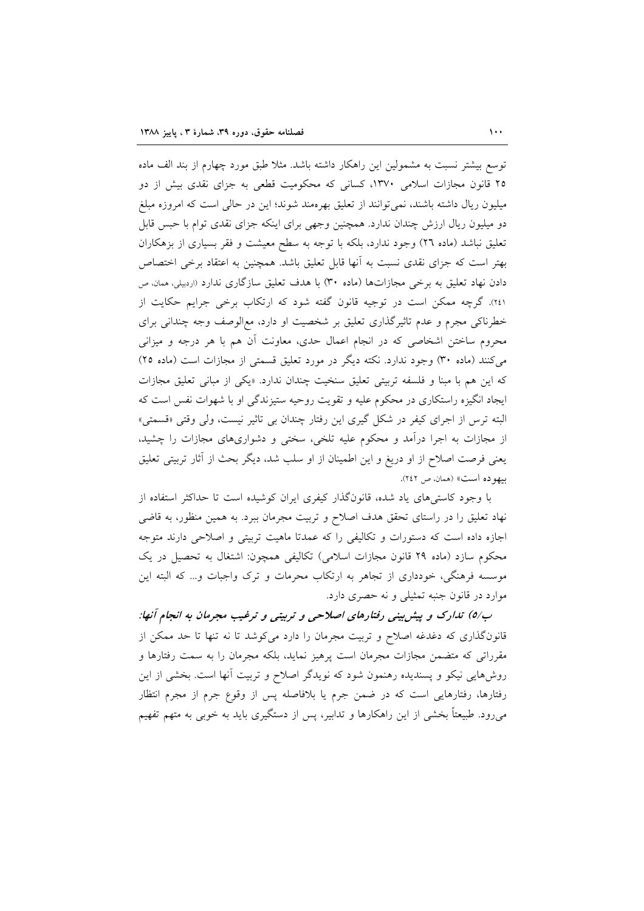توسع بیشتر نسبت به مشمولین این راهکار داشته باشد. مثلاً طبق مورد چهارم از بند الف ماده ۲۵ قانون مجازات اسلامی ۱۳۷۰، کسانی که محکومیت قطعی به جزای نقدی بیش از دو میلیون ریال داشته باشند، نمی توانند از تعلیق بهرهمند شوند؛ این در حالی است که امروزه مبلغ دو میلیون ریال ارزش چندان ندارد. همچنین وجهی برای اینکه جزای نقدی توام با حبس قابل تعلیق نباشد (ماده ٢٦) وجود ندارد، بلکه با توجه به سطح معیشت و فقر بسیاری از بزهکاران بهتر است که جزای نقدی نسبت به آنها قابل تعلیق باشد. همچنین به اعتقاد برخی اختصاص دادن نهاد تعلیق به برخی مجازاتها (ماده ۳۰) با هدف تعلیق سازگاری ندارد «ردبیلی، ممان ص ٢٤١). گرچه ممکن است در توجیه قانون گفته شود که ارتکاب برخی جرایم حکایت از خطرناکی مجرم و عدم تاثیرگذاری تعلیق بر شخصیت او دارد، مع الوصف وجه چندانی برای محروم ساختن اشخاصی که در انجام اعمال حدی، معاونت آن هم با هر درجه و میزانی می کنند (ماده ۳۰) وجود ندارد. نکته دیگر در مورد تعلیق قسمتی از مجازات است (ماده ۲۵) که این هم با مبنا و فلسفه تربیتی تعلیق سنخیت چندان ندارد. «یکی از مبانی تعلیق مجازات ایجاد انگیزه راستکاری در محکوم علیه و تقویت روحیه ستیزندگی او با شهوات نفس است که البته ترس از اجرای کیفر در شکل گیری این رفتار چندان بی تاثیر نیست، ولی وقتی «قسمتی» از مجازات به اجرا درآمد و محکوم علیه تلخی، سختی و دشواریهای مجازات را چشید، یعنی فرصت اصلاح از او دریغ و این اطمینان از او سلب شد، دیگر بحث از آثار تربیتی تعلیق بيهوده است» (همان، ص ٢٤٢).

با وجود کاستی های یاد شده، قانونگذار کیفری ایران کوشیده است تا حداکثر استفاده از نهاد تعلیق را در راستای تحقق هدف اصلاح و تربیت مجرمان ببرد. به همین منظور، به قاضی اجازه داده است که دستورات و تکالیفی را که عمدتا ماهیت تربیتی و اصلاحی دارند متوجه محکوم سازد (ماده ۲۹ قانون مجازات اسلامی) تکالیفی همچون: اشتغال به تحصیل در یک موسسه فرهنگی، خودداری از تجاهر به ارتکاب محرمات و ترک واجبات و… که البته این موارد در قانون جنبه تمثیلی و نه حصری دارد.

ب/٥) تدارک و پیش بینی رفتارهای اصلاحی و تربیتی و ترغیب مجرمان به انجام آنها: قانونگذاری که دغدغه اصلاح و تربیت مجرمان را دارد میکوشد تا نه تنها تا حد ممکن از مقرراتی که متضمن مجازات مجرمان است پرهیز نماید، بلکه مجرمان را به سمت رفتارها و روشهایی نیکو و پسندیده رهنمون شود که نویدگر اصلاح و تربیت آنها است. بخشی از این رفتارها، رفتارهایی است که در ضمن جرم یا بلافاصله پس از وقوع جرم از مجرم انتظار میرود. طبیعتاً بخشی از این راهکارها و تدابیر، پس از دستگیری باید به خوبی به متهم تفهیم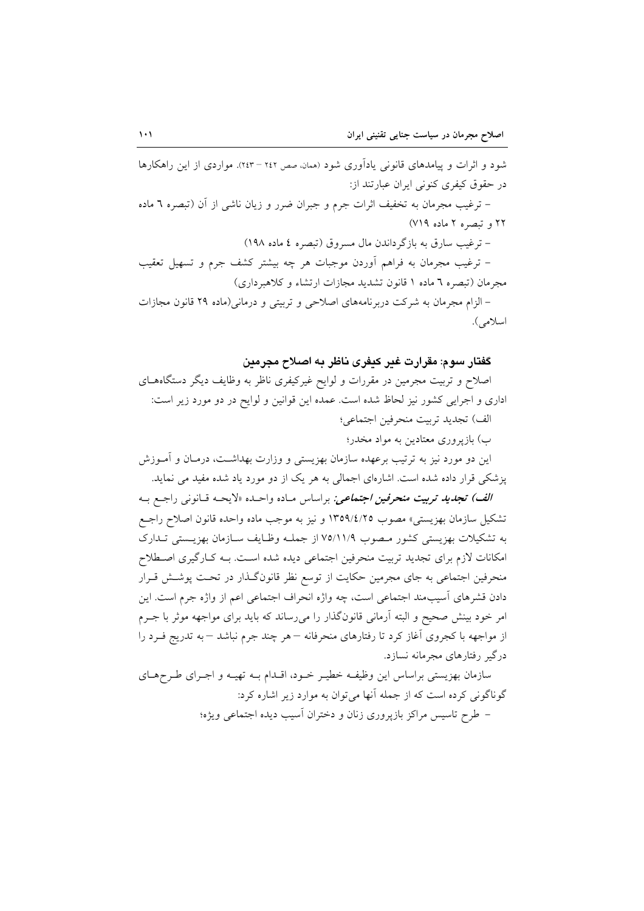شود و اثرات و پیامدهای قانونی یادآوری شود (همان صص ۲٤۲ – ۲٤۳). مواردی از این راهکارها در حقوق کیفری کنونی ایران عبارتند از:

– ترغیب مجرمان به تخفیف اثرات جرم و جبران ضرر و زیان ناشی از آن (تبصره ٦ ماده ٢٢ و تبصره ٢ ماده ٧١٩)

- ترغيب سارق به بازگر داندن مال مسروق (تبصره ٤ ماده ١٩٨)

– ترغیب مجرمان به فراهم أوردن موجبات هر چه بیشتر کشف جرم و تسهیل تعقیب مجرمان (تبصره ٦ ماده ١ قانون تشديد مجازات ارتشاء و كلاهبرداري)

– الزام مجرمان به شرکت دربرنامههای اصلاحی و تربیتی و درمانی(ماده ۲۹ قانون مجازات اسلامي).

## گفتار سوم: مقرارت غير كيفري ناظر په اصلاح مچرمين

اصلاح و تربیت مجرمین در مقررات و لوایح غیرکیفری ناظر به وظایف دیگر دستگاههـای اداری و اجرایی کشور نیز لحاظ شده است. عمده این قوانین و لوایح در دو مورد زیر است: الف) تجديد تربيت منحرفين اجتماعي؛

ب) بازیروری معتادین به مواد مخدر؛

این دو مورد نیز به ترتیب برعهده سازمان بهزیستی و وزارت بهداشت، درمـان و آمــوزش یزشکی قرار داده شده است. اشارهای اجمالی به هر یک از دو مورد یاد شده مفید می نماید.

الف) تجديد تربيت منحرفين اجتماعي: براساس مـاده واحـده «لايحـه قـانوني راجـع بـه تشكيل سازمان بهزيستبي» مصوب ١٣٥٩/٤/٢٥ و نيز به موجب ماده واحده قانون اصلاح راجع به تشکیلات بهزیستی کشور مـصوب ۷۵/۱۱/۹ از جملـه وظـایف سـازمان بهزیـستی تـدارک امکانات لازم برای تجدید تربیت منحرفین اجتماعی دیده شده است. بـه کـارگیری اصـطلاح منحرفین اجتماعی به جای مجرمین حکایت از توسع نظر قانونگذار در تحت پوشش قـرار دادن قشرهای آسیبمند اجتماعی است، چه واژه انحراف اجتماعی اعم از واژه جرم است. این امر خود بینش صحیح و البته آرمانی قانونگذار را میررساند که باید برای مواجهه موثر با جـرم از مواجهه با کجروی آغاز کرد تا رفتارهای منحرفانه – هر چند جرم نباشد – به تدریج فــرد را درگیر رفتارهای مجرمانه نسازد.

سازمان بهزیستی براساس این وظیفـه خطیـر خـود، اقـدام بـه تهیـه و اجـرای طـرحهـای گوناگونی کرده است که از جمله آنها می توان به موارد زیر اشاره کرد: – طرح تاسیس مراکز بازپروری زنان و دختران اسیب دیده اجتماعی ویژه؛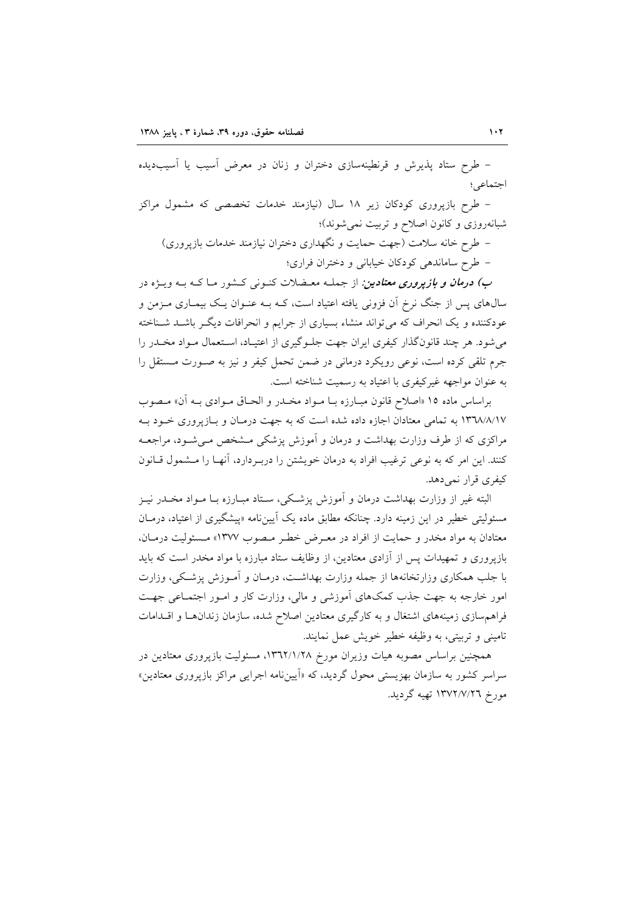– طرح ستاد پذیرش و قرنطینهسازی دختران و زنان در معرض آسیب یا آسیبدیده اجتماعي؛

– طرح بازپروری کودکان زیر ۱۸ سال (نیازمند خدمات تخصصی که مشمول مراکز شبانهروزی و کانون اصلاح و تربیت نمی شوند)؛

– طرح خانه سلامت (جهت حمایت و نگهداری دختران نیازمند خدمات بازپروری) - طرح ساماندهی کودکان خیابانی و دختران فراری؛

*ب) درمان و بازپروری معتادین:* از جملـه معـضلات کنــونی کــشور مــاکــه بــه ویـــژه در سالهای پس از جنگ نرخ آن فزونی یافته اعتیاد است، کـه بـه عنـوان یـک بیمـاری مـزمن و عودکننده و یک انحراف که می تواند منشاء بسیاری از جرایم و انحرافات دیگـر باشـد شـناخته می شود. هر چند قانونگذار کیفری ایران جهت جلـوگیری از اعتیـاد، اسـتعمال مـواد مخـدر را جرم تلقی کرده است، نوعی رویکرد درمانی در ضمن تحمل کیفر و نیز به صـورت مـستقل را به عنوان مواجهه غیرکیفری با اعتیاد به رسمیت شناخته است.

براساس ماده ۱۵ «اصلاح قانون مبـارزه بـا مـواد مخـدر و الحـاق مـوادي بـه آن» مـصوب ۱۳٦۸/٨/۱۷ به تمامی معتادان اجازه داده شده است که به جهت درمـان و بـازیروری خـود بـه مراکزی که از طرف وزارت بهداشت و درمان و آموزش پزشکی مـشخص مـی شـود، مراجعـه کنند. این امر که به نوعی ترغیب افراد به درمان خویشتن را دربـردارد، آنهـا را مـشمول قـانون كيفري قرار نمي دهد.

البته غیر از وزارت بهداشت درمان و آموزش پزشکی، سـتاد مبـارزه بـا مـواد مخـدر نيـز مسئولیتی خطیر در این زمینه دارد. چنانکه مطابق ماده یک آیینiامه «پیشگیری از اعتیاد، درمـان معتادان به مواد مخدر و حمایت از افراد در معـرض خطـر مـصوب ۱۳۷۷» مـسئولیت درمـان، بازیروری و تمهیدات پس از آزادی معتادین، از وظایف ستاد مبارزه با مواد مخدر است که باید با جلب همکاری وزارتخانهها از جمله وزارت بهداشت، درمـان و آمـوزش پزشـکی، وزارت امور خارجه به جهت جذب کمکهای آموزشی و مالی، وزارت کار و امـور اجتمـاعی جهـت فراهم سازی زمینههای اشتغال و به کارگیری معتادین اصلاح شده، سازمان زندانها و اقلدامات تامینی و تربیتی، به وظیفه خطیر خویش عمل نمایند.

همچنین براساس مصوبه هیات وزیران مورخ ۱۳٦٢/۱/۲۸، مسئولیت بازپروری معتادین در سراسر کشور به سازمان بهزیستی محول گردید، که «اَپیننامه اجرایی مراکز بازپروری معتادین» مورخ ١٣٧٢/٧/٢٦ تهيه گرديد.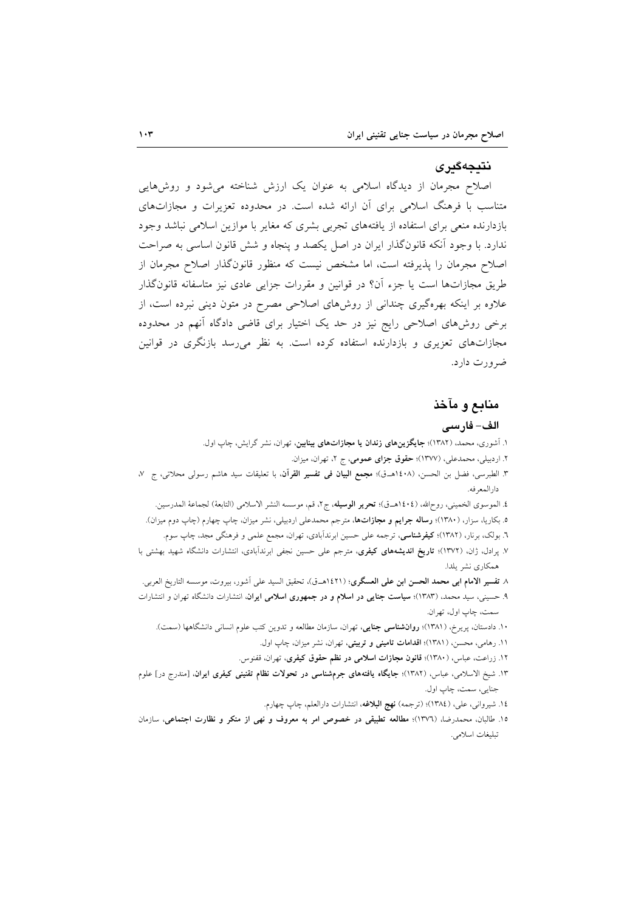## نتىجەگىر ي

اصلاح مجرمان از دیدگاه اسلامی به عنوان یک ارزش شناخته می شود و روش هایی متناسب با فرهنگ اسلامی برای آن ارائه شده است. در محدوده تعزیرات و مجازاتهای بازدارنده منعی برای استفاده از یافتههای تجربی بشری که مغایر با موازین اسلامی نباشد وجود ندارد. با وجود آنکه قانونگذار ایران در اصل یکصد و پنجاه و شش قانون اساسی به صراحت اصلاح مجرمان را پذیرفته است، اما مشخص نیست که منظور قانونگذار اصلاح مجرمان از طریق مجازاتها است یا جزء اّن؟ در قوانین و مقررات جزایی عادی نیز متاسفانه قانونگذار علاوه بر اینکه بهرهگیری چندانی از روشهای اصلاحی مصرح در متون دینی نبرده است، از برخی روشهای اصلاحی رایج نیز در حد یک اختیار برای قاضی دادگاه آنهم در محدوده مجازاتهای تعزیری و بازدارنده استفاده کرده است. به نظر می رسد بازنگری در قوانین ضرورت دارد.

## منابع و مآخذ

#### الف- فارسى

- ۱. آشوری، محمد، (۱۳۸۲)؛ **جایگزینهای زندان یا مجازاتهای بینابین**، تهران، نشر گرایش، چاپ اول.
	- ۲. اردبیلی، محمدعلی، (۱۳۷۷)؛ حقوق جزای عمومی، ج ۲، تهران، میزان.
- ٣. الطبرسي، فضل بن الحسن، (١٤٠٨هـ.ق)؛ مجمع البيان في تفسير القرآن، با تعليقات سيد هاشم رسولي محلاتي، ج ٧، دار المعرفه.
	- ٤. الموسوى الخميني، روحالله، (١٤٠٤هـق)؛ تحرير الوسيله، ج٢، قم، موسسه النشر الاسلامي (التابعة) لجماعة المدرسين.
- ۵. بکاریا، سزار، (۱۳۸۰)؛ **رساله جرایم و مجازاتها**، مترجم محمدعلی اردبیلی، نشر میزان، چاپ چهارم (چاپ دوم میزان).
	- ٦. بولک، برنار، (١٣٨٢)؛ **کیفرشناسی**، ترجمه علی حسین ابرندآبادی، تهران، مجمع علمی و فرهنگی مجد، چاپ سوم.
- ۷. پرادل، ژان، (۱۳۷۲)؛ **تاریخ اندیشههای کیفری**، مترجم علی حسین نجفی ابرندآبادی، انتشارات دانشگاه شهید بهشتی با همكاري نشر يلدا.
- ٨ تفسير الامام ابي محمد الحسن ابن علي العسگري؛ (١٤٢١هــق)، تحقيق السيد علي أشور، بيروت، موسسه التاريخ العربي.
- ۹. حسینی، سید محمد، (۱۳۸۳)؛ **سیاست جنایی در اسلام و در جمهوری اسلامی ایران**، انتشارات دانشگاه تهران و انتشارات سمت، چاپ اول، تهران.
	- ۱۰. دادستان، پریرخ، (۱۳۸۱)؛ **روانشناسی جنایی**، تهران، سازمان مطالعه و تدوین کتب علوم انسانی دانشگاهها (سمت).
		- ۱۱. رهامی، محسن، (۱۳۸۱)؛ اقدامات تامینی و تربیتی، تهران، نشر میزان، چاپ اول.
		- ۱۲. زراعت، عباس، (۱۳۸۰)؛ قانون مجازات اسلامی در نظم حقوق کیفری، تهران، قفنوس.
- ۱۳. شیخ الاسلامی، عباس، (۱۳۸۲)؛ **جایگاه یافتههای جرمشناسی در تحولات نظام تقنینی کیفری ایران**، [مندرج در] علوم جنايي، سمت، چاپ اول.
	- ١٤. شيرواني، علي، (١٣٨٤)؛ (ترجمه) نهج البلاغه، انتشارات دارالعلم، چاپ چهارم.
- ١٥. طالبان، محمدرضا، (١٣٧٦)؛ مطالعه تطبيقي در خصوص امر به معروف و نهي از منكر و نظارت اجتماعي، سازمان تبليغات اسلامي.